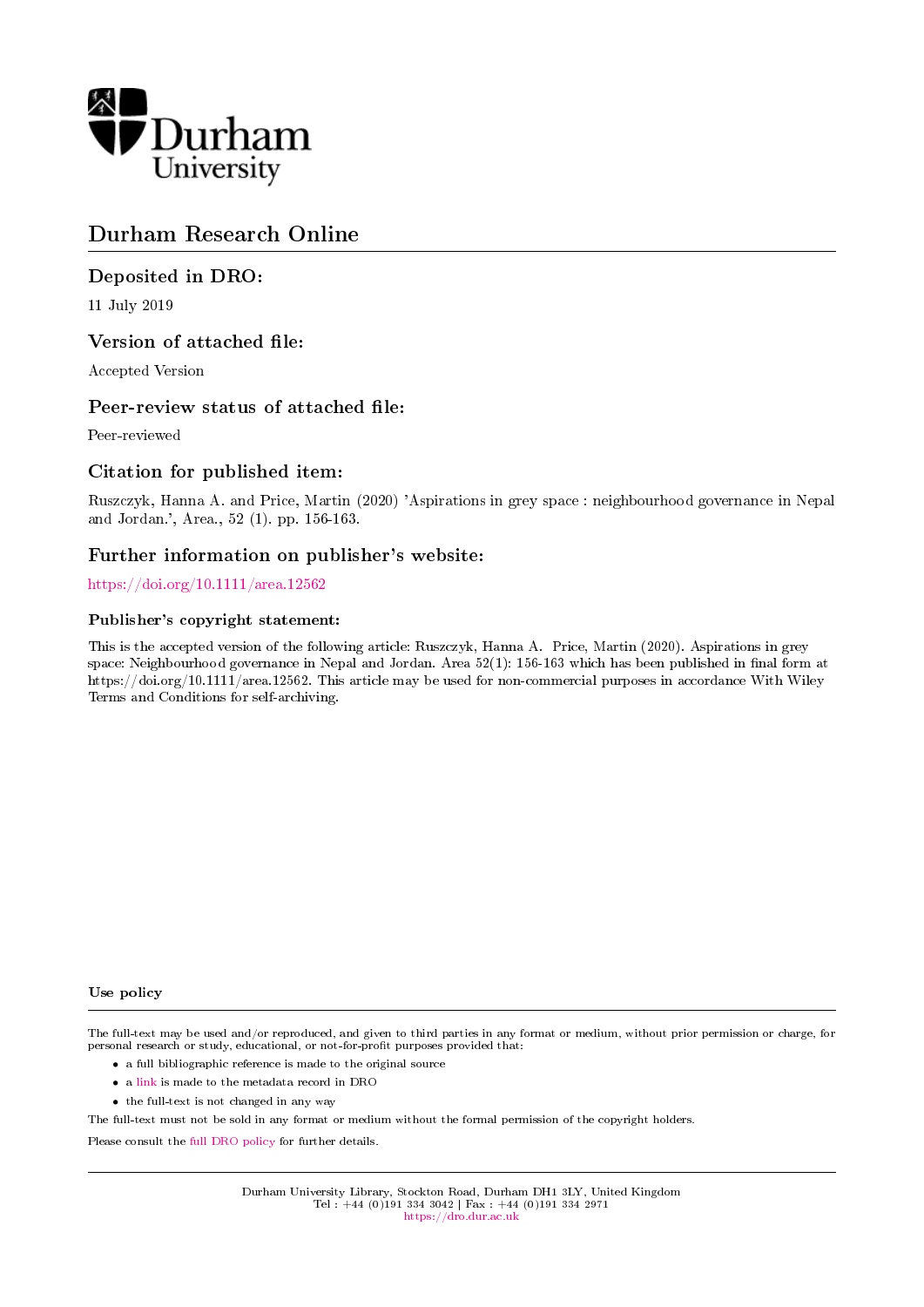

# Durham Research Online

### Deposited in DRO:

11 July 2019

### Version of attached file:

Accepted Version

#### Peer-review status of attached file:

Peer-reviewed

### Citation for published item:

Ruszczyk, Hanna A. and Price, Martin (2020) 'Aspirations in grey space : neighbourhood governance in Nepal and Jordan.', Area., 52 (1). pp. 156-163.

### Further information on publisher's website:

#### <https://doi.org/10.1111/area.12562>

#### Publisher's copyright statement:

This is the accepted version of the following article: Ruszczyk, Hanna A. Price, Martin (2020). Aspirations in grey space: Neighbourhood governance in Nepal and Jordan. Area 52(1): 156-163 which has been published in final form at https://doi.org/10.1111/area.12562. This article may be used for non-commercial purposes in accordance With Wiley Terms and Conditions for self-archiving.

#### Use policy

The full-text may be used and/or reproduced, and given to third parties in any format or medium, without prior permission or charge, for personal research or study, educational, or not-for-profit purposes provided that:

- a full bibliographic reference is made to the original source
- a [link](http://dro.dur.ac.uk/28630/) is made to the metadata record in DRO
- the full-text is not changed in any way

The full-text must not be sold in any format or medium without the formal permission of the copyright holders.

Please consult the [full DRO policy](https://dro.dur.ac.uk/policies/usepolicy.pdf) for further details.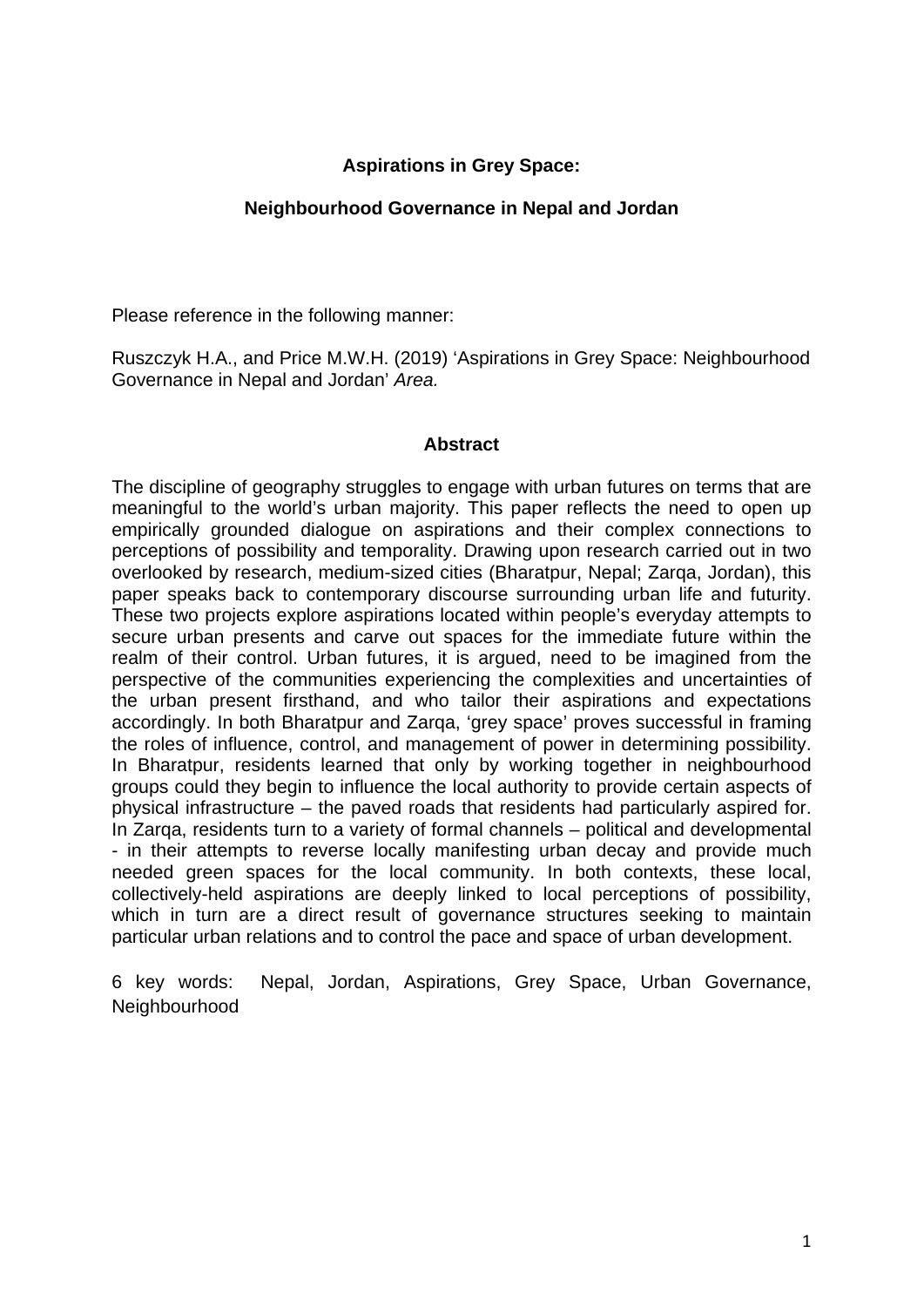### **Aspirations in Grey Space:**

### **Neighbourhood Governance in Nepal and Jordan**

Please reference in the following manner:

Ruszczyk H.A., and Price M.W.H. (2019) 'Aspirations in Grey Space: Neighbourhood Governance in Nepal and Jordan' *Area.*

### **Abstract**

The discipline of geography struggles to engage with urban futures on terms that are meaningful to the world's urban majority. This paper reflects the need to open up empirically grounded dialogue on aspirations and their complex connections to perceptions of possibility and temporality. Drawing upon research carried out in two overlooked by research, medium-sized cities (Bharatpur, Nepal; Zarga, Jordan), this paper speaks back to contemporary discourse surrounding urban life and futurity. These two projects explore aspirations located within people's everyday attempts to secure urban presents and carve out spaces for the immediate future within the realm of their control. Urban futures, it is argued, need to be imagined from the perspective of the communities experiencing the complexities and uncertainties of the urban present firsthand, and who tailor their aspirations and expectations accordingly. In both Bharatpur and Zarqa, 'grey space' proves successful in framing the roles of influence, control, and management of power in determining possibility. In Bharatpur, residents learned that only by working together in neighbourhood groups could they begin to influence the local authority to provide certain aspects of physical infrastructure – the paved roads that residents had particularly aspired for. In Zarqa, residents turn to a variety of formal channels – political and developmental - in their attempts to reverse locally manifesting urban decay and provide much needed green spaces for the local community. In both contexts, these local, collectively-held aspirations are deeply linked to local perceptions of possibility, which in turn are a direct result of governance structures seeking to maintain particular urban relations and to control the pace and space of urban development.

6 key words: Nepal, Jordan, Aspirations, Grey Space, Urban Governance, **Neighbourhood**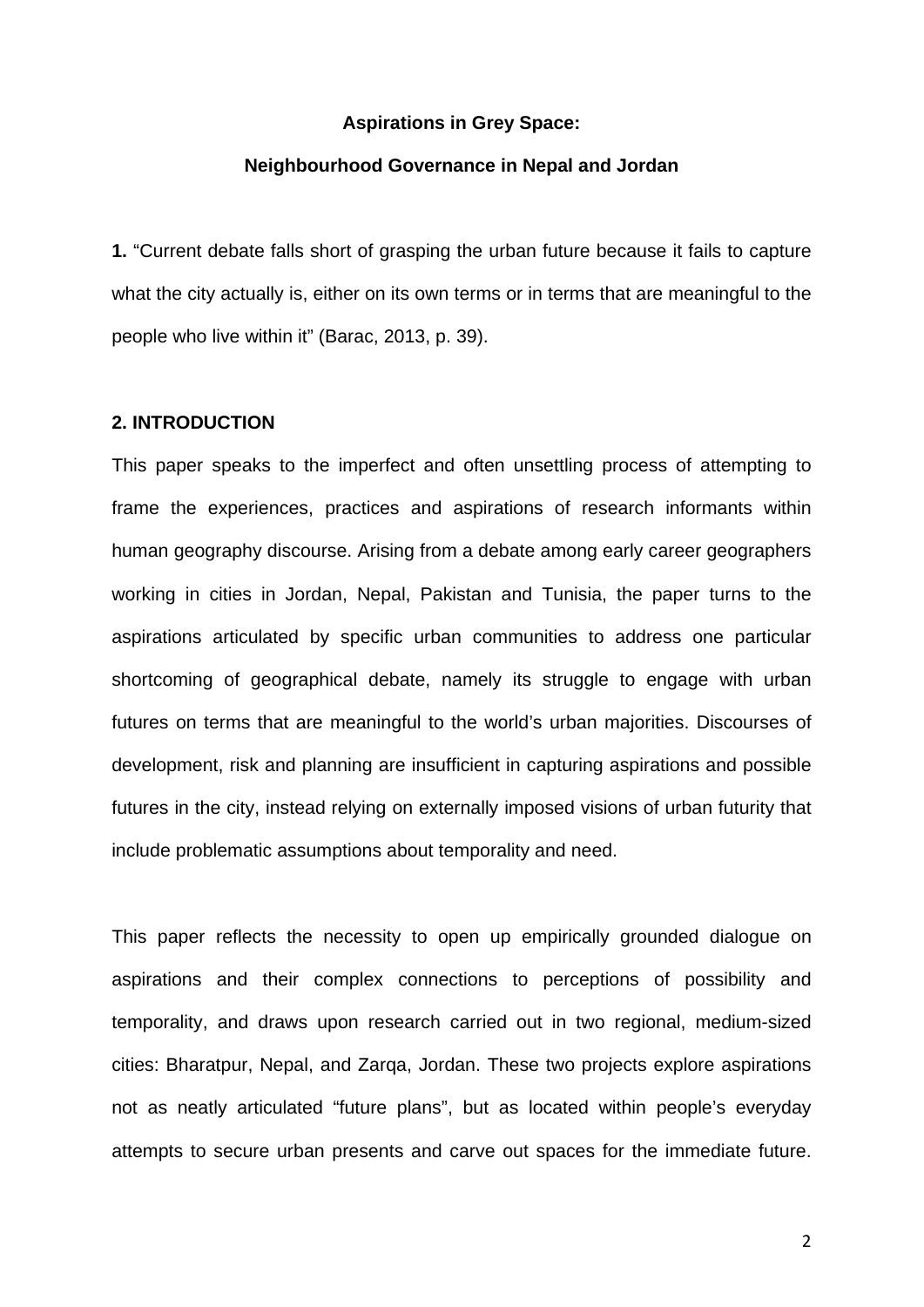#### **Aspirations in Grey Space:**

#### **Neighbourhood Governance in Nepal and Jordan**

**1.** "Current debate falls short of grasping the urban future because it fails to capture what the city actually is, either on its own terms or in terms that are meaningful to the people who live within it" (Barac, 2013, p. 39).

#### **2. INTRODUCTION**

This paper speaks to the imperfect and often unsettling process of attempting to frame the experiences, practices and aspirations of research informants within human geography discourse. Arising from a debate among early career geographers working in cities in Jordan, Nepal, Pakistan and Tunisia, the paper turns to the aspirations articulated by specific urban communities to address one particular shortcoming of geographical debate, namely its struggle to engage with urban futures on terms that are meaningful to the world's urban majorities. Discourses of development, risk and planning are insufficient in capturing aspirations and possible futures in the city, instead relying on externally imposed visions of urban futurity that include problematic assumptions about temporality and need.

This paper reflects the necessity to open up empirically grounded dialogue on aspirations and their complex connections to perceptions of possibility and temporality, and draws upon research carried out in two regional, medium-sized cities: Bharatpur, Nepal, and Zarqa, Jordan. These two projects explore aspirations not as neatly articulated "future plans", but as located within people's everyday attempts to secure urban presents and carve out spaces for the immediate future.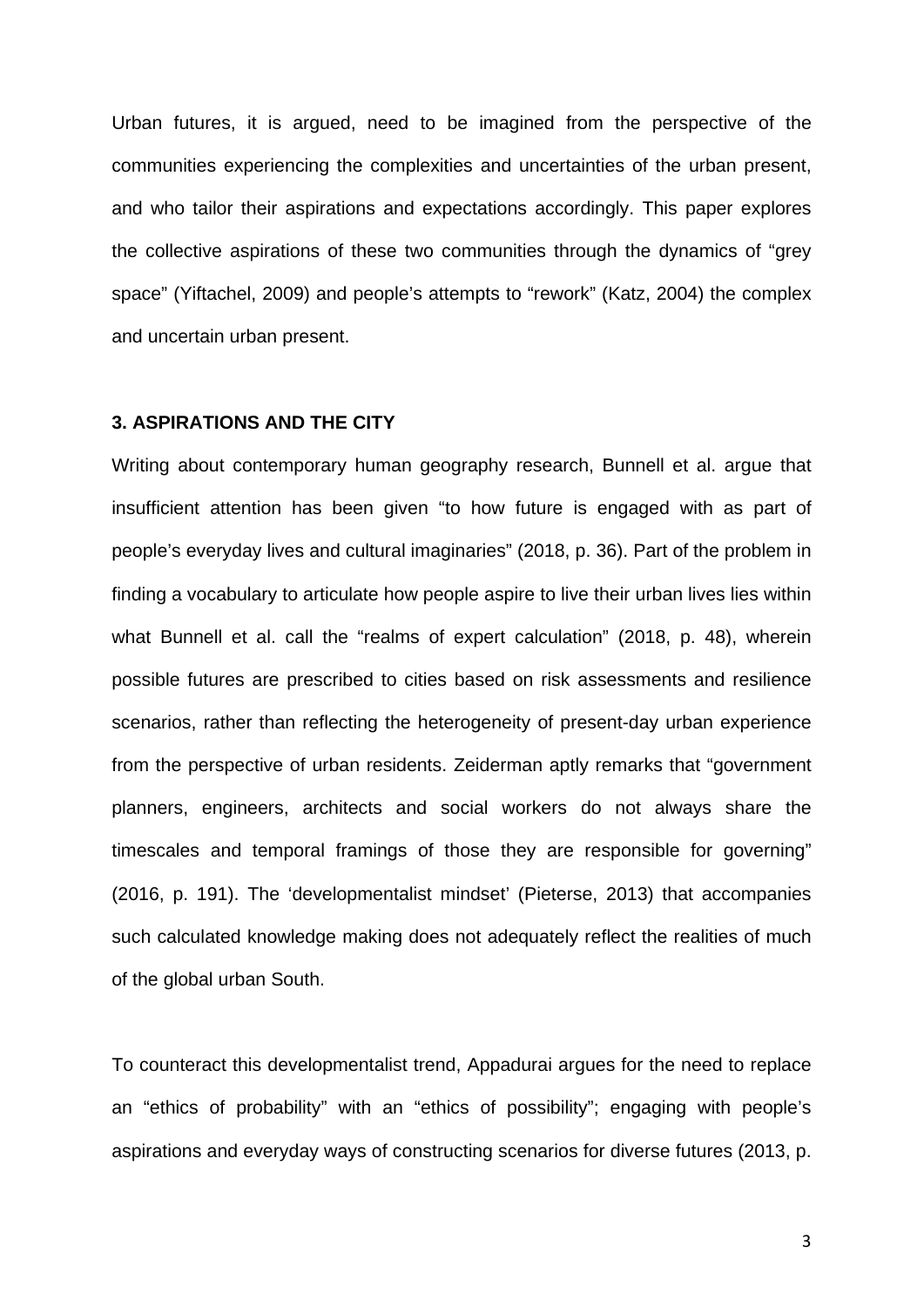Urban futures, it is argued, need to be imagined from the perspective of the communities experiencing the complexities and uncertainties of the urban present, and who tailor their aspirations and expectations accordingly. This paper explores the collective aspirations of these two communities through the dynamics of "grey space" (Yiftachel, 2009) and people's attempts to "rework" (Katz, 2004) the complex and uncertain urban present.

#### **3. ASPIRATIONS AND THE CITY**

Writing about contemporary human geography research, Bunnell et al. argue that insufficient attention has been given "to how future is engaged with as part of people's everyday lives and cultural imaginaries" (2018, p. 36). Part of the problem in finding a vocabulary to articulate how people aspire to live their urban lives lies within what Bunnell et al. call the "realms of expert calculation" (2018, p. 48), wherein possible futures are prescribed to cities based on risk assessments and resilience scenarios, rather than reflecting the heterogeneity of present-day urban experience from the perspective of urban residents. Zeiderman aptly remarks that "government planners, engineers, architects and social workers do not always share the timescales and temporal framings of those they are responsible for governing" (2016, p. 191). The 'developmentalist mindset' (Pieterse, 2013) that accompanies such calculated knowledge making does not adequately reflect the realities of much of the global urban South.

To counteract this developmentalist trend, Appadurai argues for the need to replace an "ethics of probability" with an "ethics of possibility"; engaging with people's aspirations and everyday ways of constructing scenarios for diverse futures (2013, p.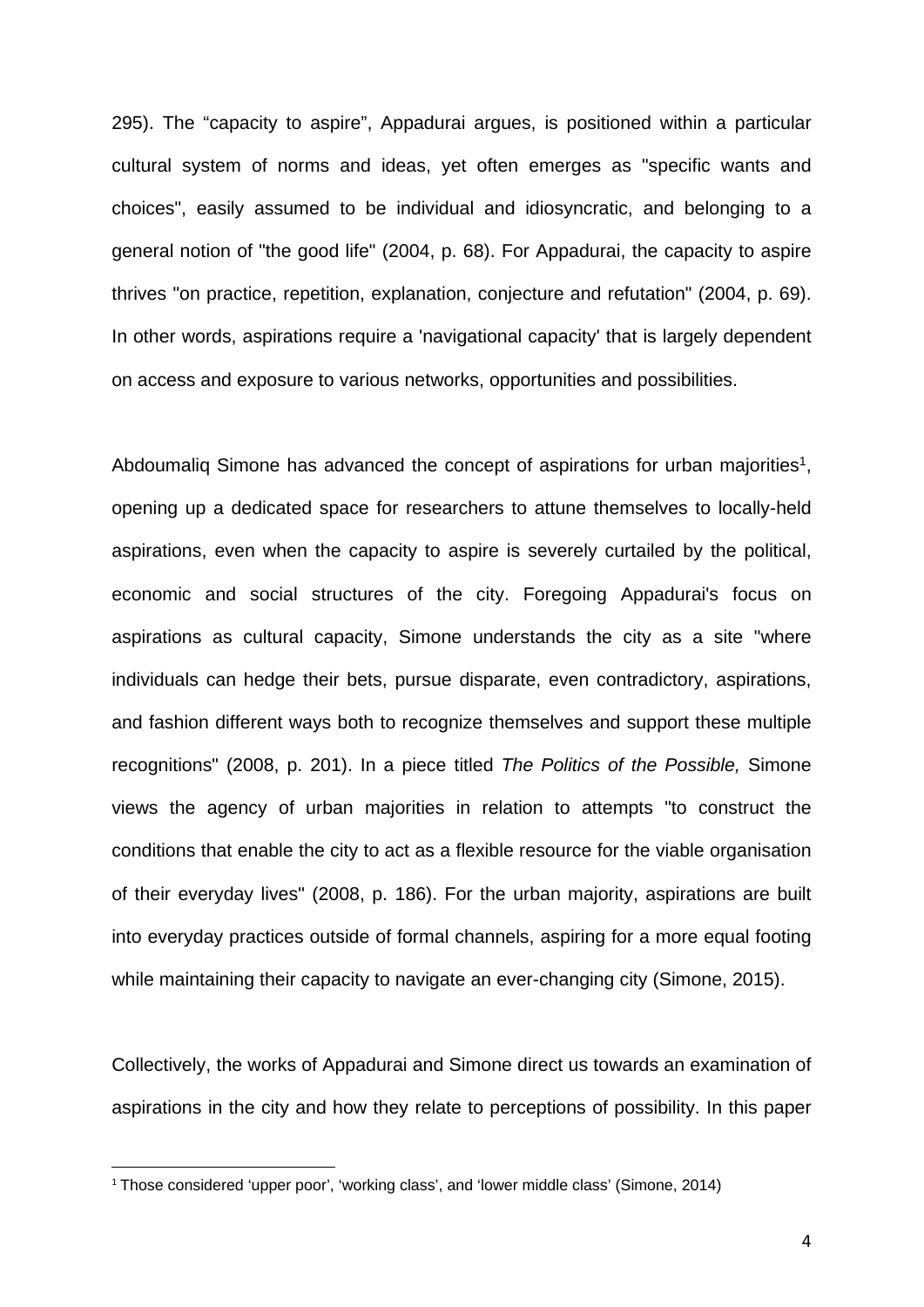295). The "capacity to aspire", Appadurai argues, is positioned within a particular cultural system of norms and ideas, yet often emerges as "specific wants and choices", easily assumed to be individual and idiosyncratic, and belonging to a general notion of "the good life" (2004, p. 68). For Appadurai, the capacity to aspire thrives "on practice, repetition, explanation, conjecture and refutation" (2004, p. 69). In other words, aspirations require a 'navigational capacity' that is largely dependent on access and exposure to various networks, opportunities and possibilities.

Abdoumalig Simone has advanced the concept of aspirations for urban majorities<sup>1</sup>, opening up a dedicated space for researchers to attune themselves to locally-held aspirations, even when the capacity to aspire is severely curtailed by the political, economic and social structures of the city. Foregoing Appadurai's focus on aspirations as cultural capacity, Simone understands the city as a site "where individuals can hedge their bets, pursue disparate, even contradictory, aspirations, and fashion different ways both to recognize themselves and support these multiple recognitions" (2008, p. 201). In a piece titled *The Politics of the Possible,* Simone views the agency of urban majorities in relation to attempts "to construct the conditions that enable the city to act as a flexible resource for the viable organisation of their everyday lives" (2008, p. 186). For the urban majority, aspirations are built into everyday practices outside of formal channels, aspiring for a more equal footing while maintaining their capacity to navigate an ever-changing city (Simone, 2015).

Collectively, the works of Appadurai and Simone direct us towards an examination of aspirations in the city and how they relate to perceptions of possibility. In this paper

 <sup>1</sup> Those considered 'upper poor', 'working class', and 'lower middle class' (Simone, 2014)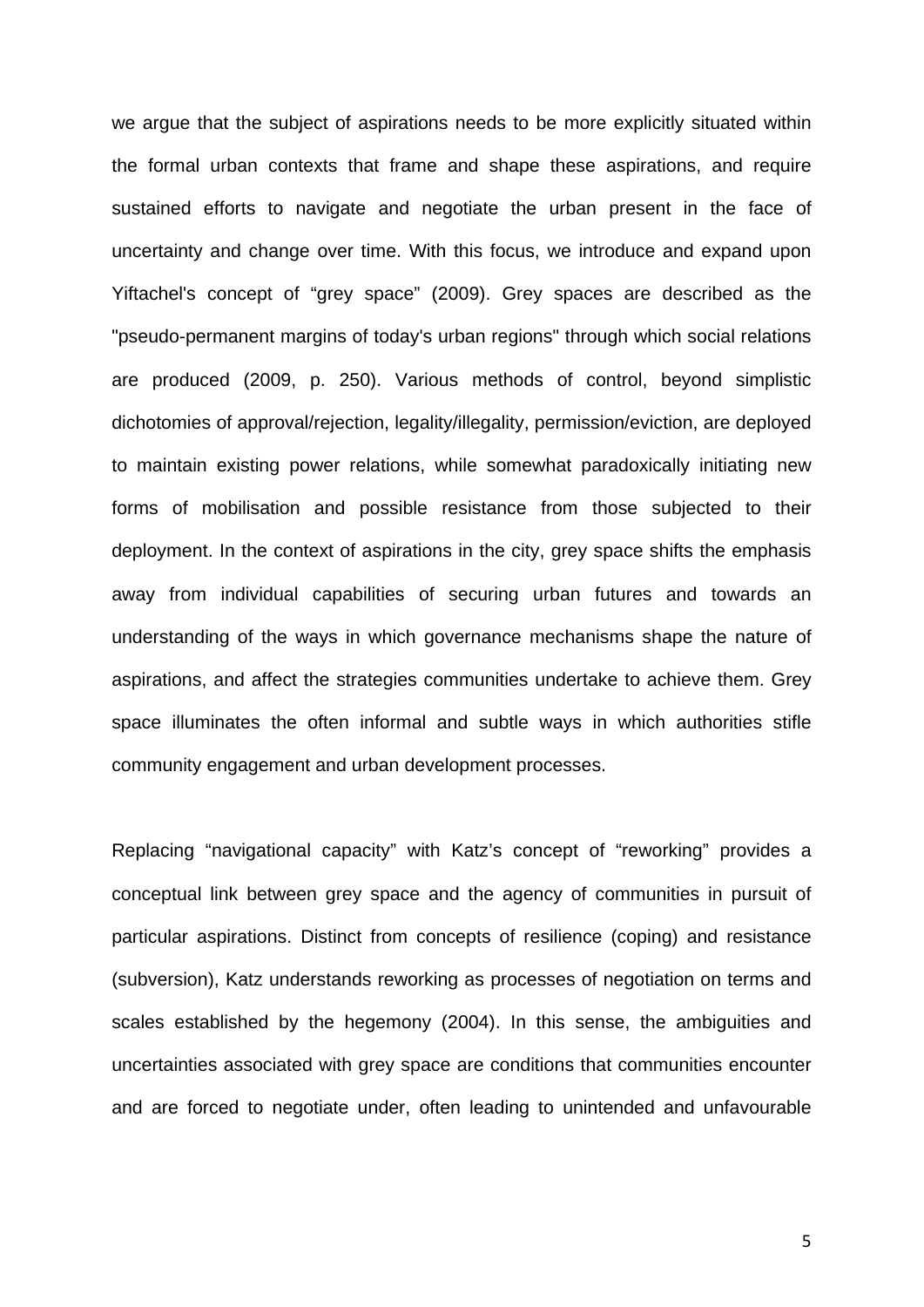we argue that the subject of aspirations needs to be more explicitly situated within the formal urban contexts that frame and shape these aspirations, and require sustained efforts to navigate and negotiate the urban present in the face of uncertainty and change over time. With this focus, we introduce and expand upon Yiftachel's concept of "grey space" (2009). Grey spaces are described as the "pseudo-permanent margins of today's urban regions" through which social relations are produced (2009, p. 250). Various methods of control, beyond simplistic dichotomies of approval/rejection, legality/illegality, permission/eviction, are deployed to maintain existing power relations, while somewhat paradoxically initiating new forms of mobilisation and possible resistance from those subjected to their deployment. In the context of aspirations in the city, grey space shifts the emphasis away from individual capabilities of securing urban futures and towards an understanding of the ways in which governance mechanisms shape the nature of aspirations, and affect the strategies communities undertake to achieve them. Grey space illuminates the often informal and subtle ways in which authorities stifle community engagement and urban development processes.

Replacing "navigational capacity" with Katz's concept of "reworking" provides a conceptual link between grey space and the agency of communities in pursuit of particular aspirations. Distinct from concepts of resilience (coping) and resistance (subversion), Katz understands reworking as processes of negotiation on terms and scales established by the hegemony (2004). In this sense, the ambiguities and uncertainties associated with grey space are conditions that communities encounter and are forced to negotiate under, often leading to unintended and unfavourable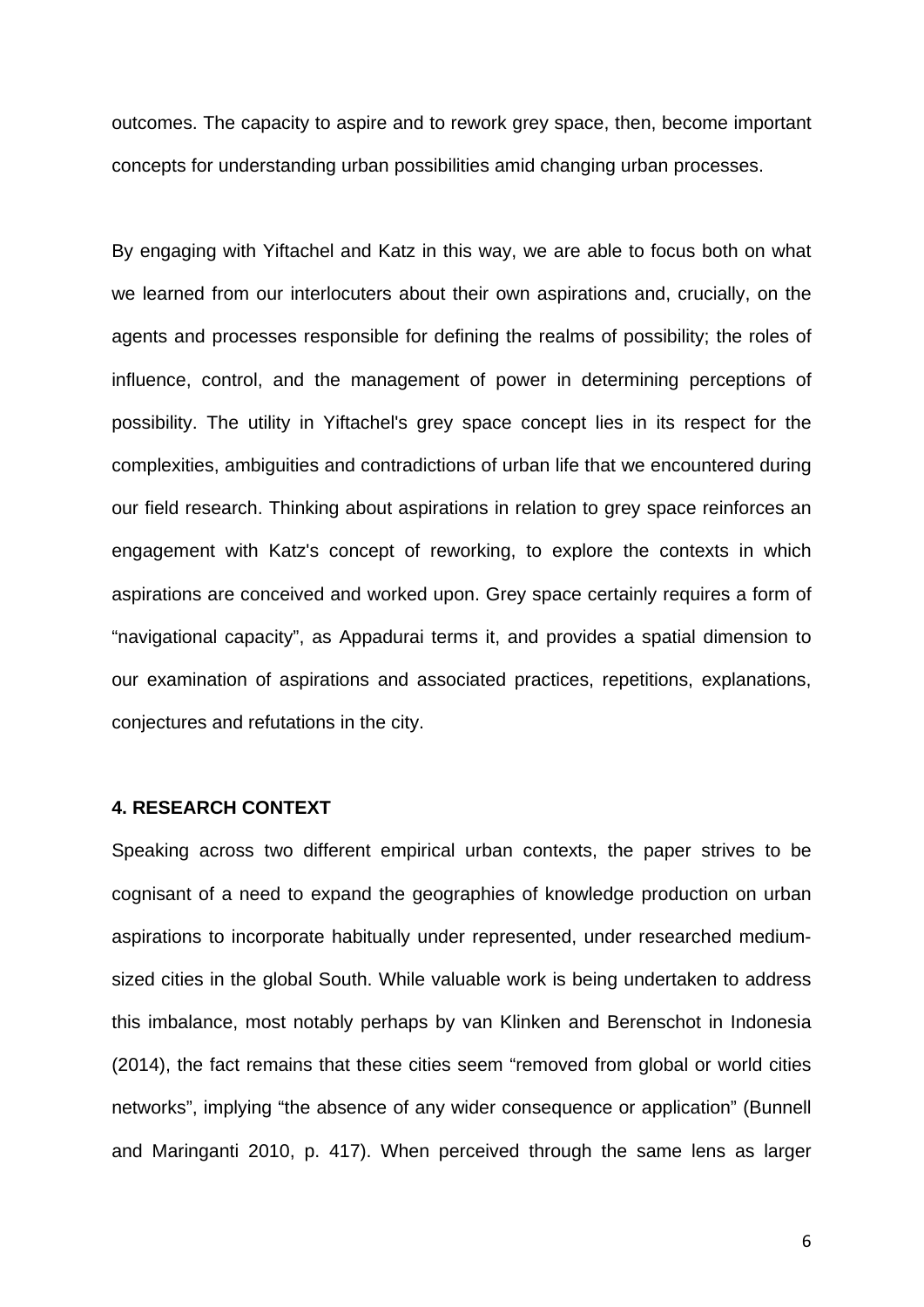outcomes. The capacity to aspire and to rework grey space, then, become important concepts for understanding urban possibilities amid changing urban processes.

By engaging with Yiftachel and Katz in this way, we are able to focus both on what we learned from our interlocuters about their own aspirations and, crucially, on the agents and processes responsible for defining the realms of possibility; the roles of influence, control, and the management of power in determining perceptions of possibility. The utility in Yiftachel's grey space concept lies in its respect for the complexities, ambiguities and contradictions of urban life that we encountered during our field research. Thinking about aspirations in relation to grey space reinforces an engagement with Katz's concept of reworking, to explore the contexts in which aspirations are conceived and worked upon. Grey space certainly requires a form of "navigational capacity", as Appadurai terms it, and provides a spatial dimension to our examination of aspirations and associated practices, repetitions, explanations, conjectures and refutations in the city.

### **4. RESEARCH CONTEXT**

Speaking across two different empirical urban contexts, the paper strives to be cognisant of a need to expand the geographies of knowledge production on urban aspirations to incorporate habitually under represented, under researched mediumsized cities in the global South. While valuable work is being undertaken to address this imbalance, most notably perhaps by van Klinken and Berenschot in Indonesia (2014), the fact remains that these cities seem "removed from global or world cities networks", implying "the absence of any wider consequence or application" (Bunnell and Maringanti 2010, p. 417). When perceived through the same lens as larger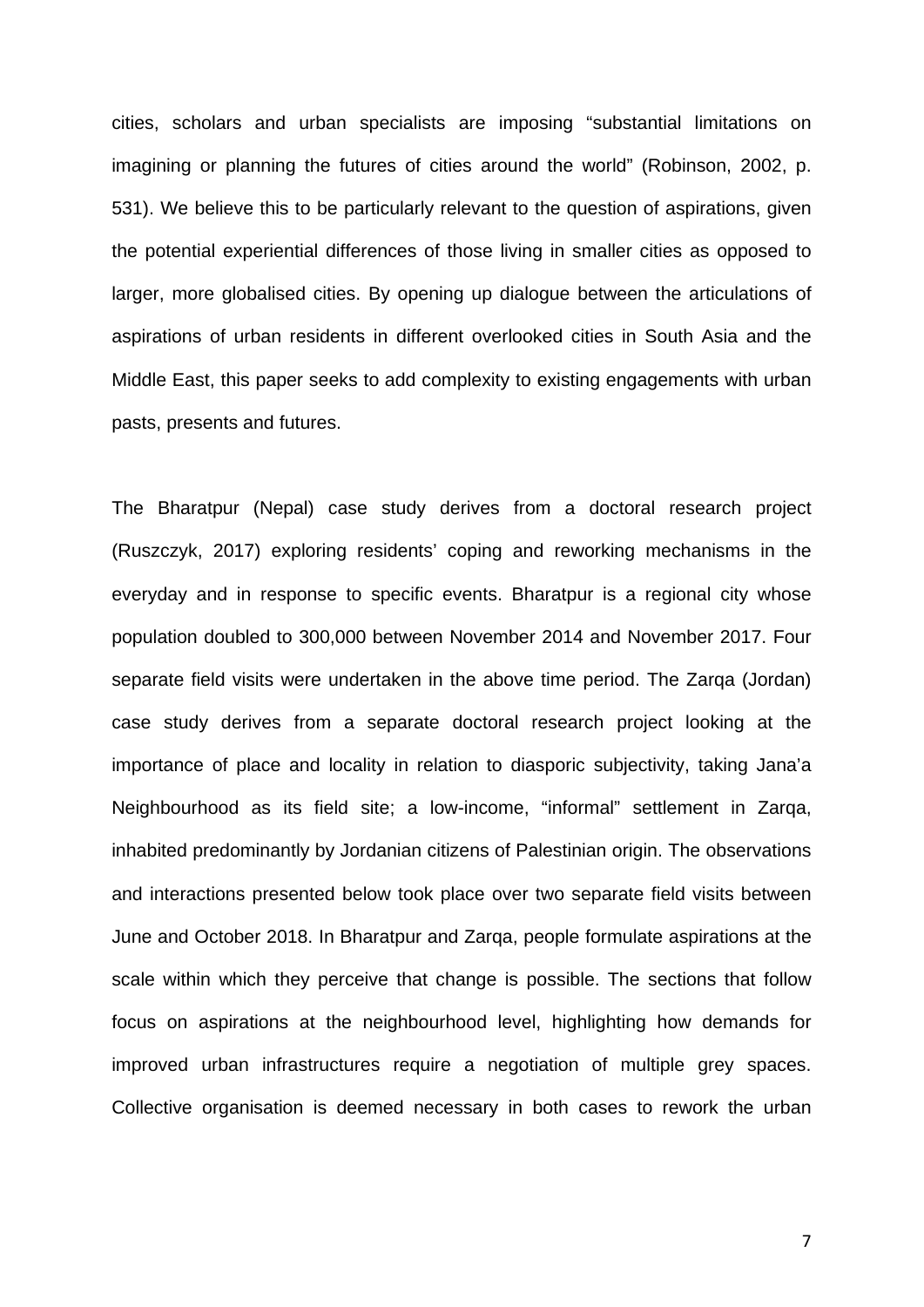cities, scholars and urban specialists are imposing "substantial limitations on imagining or planning the futures of cities around the world" (Robinson, 2002, p. 531). We believe this to be particularly relevant to the question of aspirations, given the potential experiential differences of those living in smaller cities as opposed to larger, more globalised cities. By opening up dialogue between the articulations of aspirations of urban residents in different overlooked cities in South Asia and the Middle East, this paper seeks to add complexity to existing engagements with urban pasts, presents and futures.

The Bharatpur (Nepal) case study derives from a doctoral research project (Ruszczyk, 2017) exploring residents' coping and reworking mechanisms in the everyday and in response to specific events. Bharatpur is a regional city whose population doubled to 300,000 between November 2014 and November 2017. Four separate field visits were undertaken in the above time period. The Zarqa (Jordan) case study derives from a separate doctoral research project looking at the importance of place and locality in relation to diasporic subjectivity, taking Jana'a Neighbourhood as its field site; a low-income, "informal" settlement in Zarqa, inhabited predominantly by Jordanian citizens of Palestinian origin. The observations and interactions presented below took place over two separate field visits between June and October 2018. In Bharatpur and Zarqa, people formulate aspirations at the scale within which they perceive that change is possible. The sections that follow focus on aspirations at the neighbourhood level, highlighting how demands for improved urban infrastructures require a negotiation of multiple grey spaces. Collective organisation is deemed necessary in both cases to rework the urban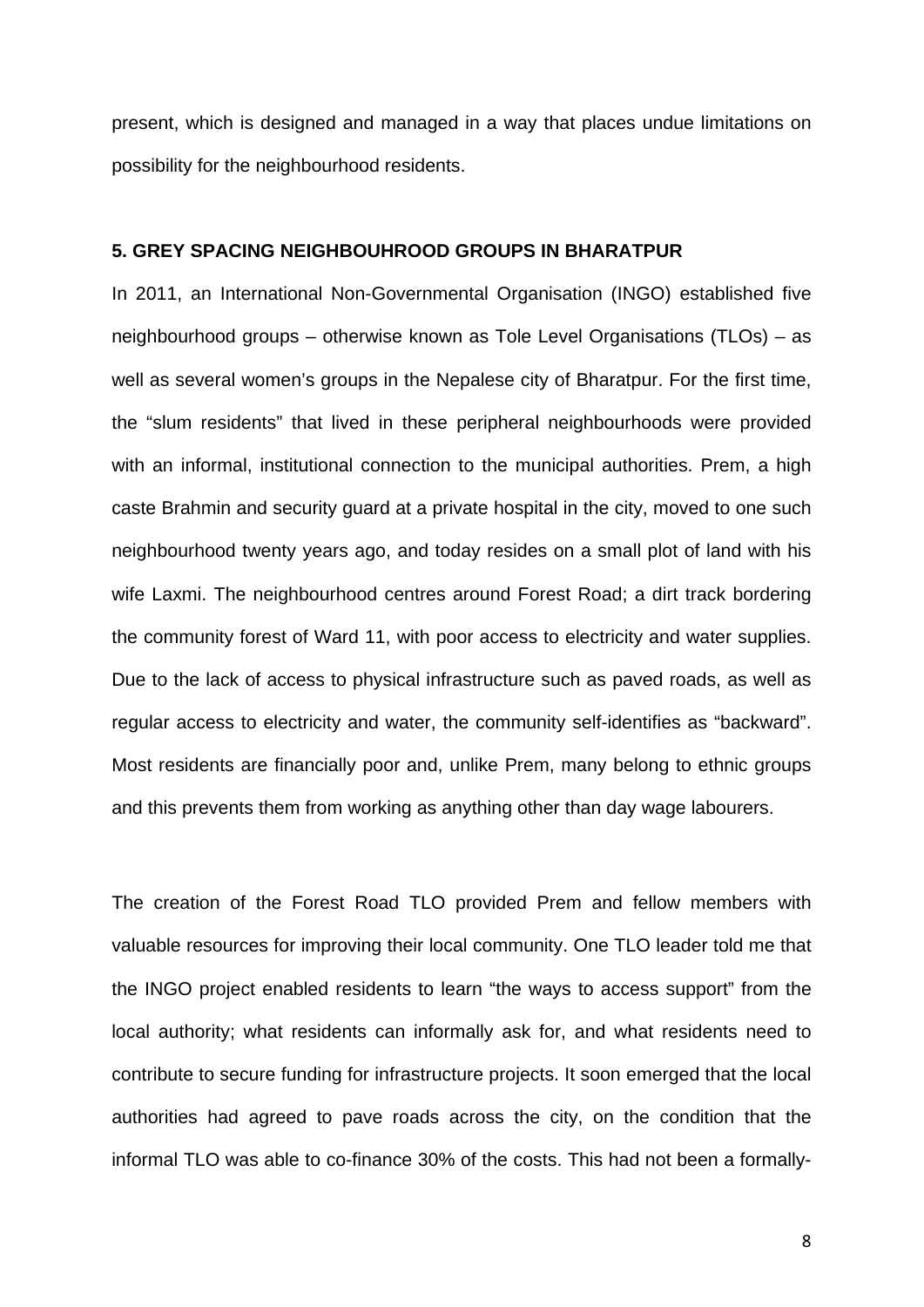present, which is designed and managed in a way that places undue limitations on possibility for the neighbourhood residents.

### **5. GREY SPACING NEIGHBOUHROOD GROUPS IN BHARATPUR**

In 2011, an International Non-Governmental Organisation (INGO) established five neighbourhood groups – otherwise known as Tole Level Organisations (TLOs) – as well as several women's groups in the Nepalese city of Bharatpur. For the first time, the "slum residents" that lived in these peripheral neighbourhoods were provided with an informal, institutional connection to the municipal authorities. Prem, a high caste Brahmin and security guard at a private hospital in the city, moved to one such neighbourhood twenty years ago, and today resides on a small plot of land with his wife Laxmi. The neighbourhood centres around Forest Road; a dirt track bordering the community forest of Ward 11, with poor access to electricity and water supplies. Due to the lack of access to physical infrastructure such as paved roads, as well as regular access to electricity and water, the community self-identifies as "backward". Most residents are financially poor and, unlike Prem, many belong to ethnic groups and this prevents them from working as anything other than day wage labourers.

The creation of the Forest Road TLO provided Prem and fellow members with valuable resources for improving their local community. One TLO leader told me that the INGO project enabled residents to learn "the ways to access support" from the local authority; what residents can informally ask for, and what residents need to contribute to secure funding for infrastructure projects. It soon emerged that the local authorities had agreed to pave roads across the city, on the condition that the informal TLO was able to co-finance 30% of the costs. This had not been a formally-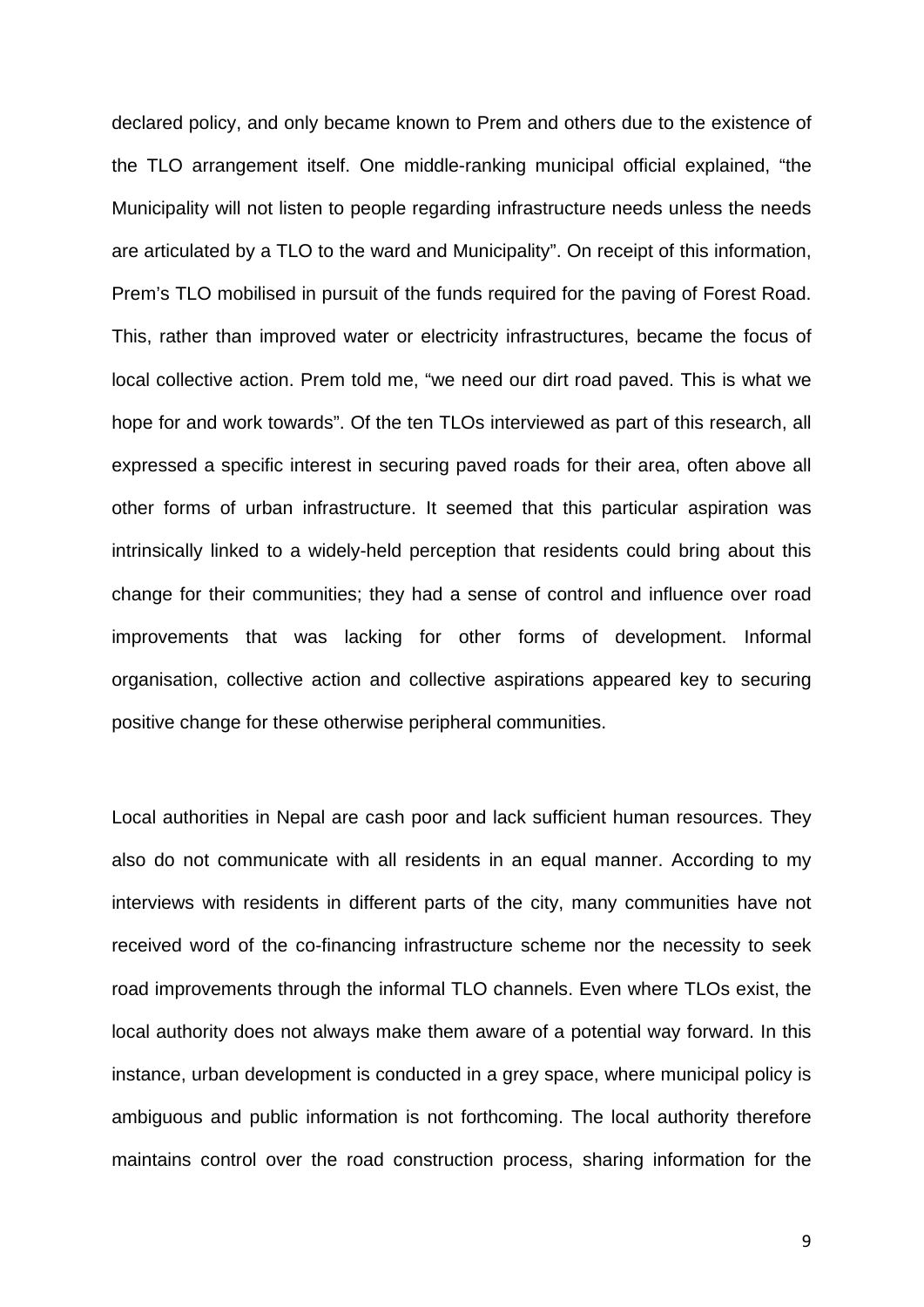declared policy, and only became known to Prem and others due to the existence of the TLO arrangement itself. One middle-ranking municipal official explained, "the Municipality will not listen to people regarding infrastructure needs unless the needs are articulated by a TLO to the ward and Municipality". On receipt of this information, Prem's TLO mobilised in pursuit of the funds required for the paving of Forest Road. This, rather than improved water or electricity infrastructures, became the focus of local collective action. Prem told me, "we need our dirt road paved. This is what we hope for and work towards". Of the ten TLOs interviewed as part of this research, all expressed a specific interest in securing paved roads for their area, often above all other forms of urban infrastructure. It seemed that this particular aspiration was intrinsically linked to a widely-held perception that residents could bring about this change for their communities; they had a sense of control and influence over road improvements that was lacking for other forms of development. Informal organisation, collective action and collective aspirations appeared key to securing positive change for these otherwise peripheral communities.

Local authorities in Nepal are cash poor and lack sufficient human resources. They also do not communicate with all residents in an equal manner. According to my interviews with residents in different parts of the city, many communities have not received word of the co-financing infrastructure scheme nor the necessity to seek road improvements through the informal TLO channels. Even where TLOs exist, the local authority does not always make them aware of a potential way forward. In this instance, urban development is conducted in a grey space, where municipal policy is ambiguous and public information is not forthcoming. The local authority therefore maintains control over the road construction process, sharing information for the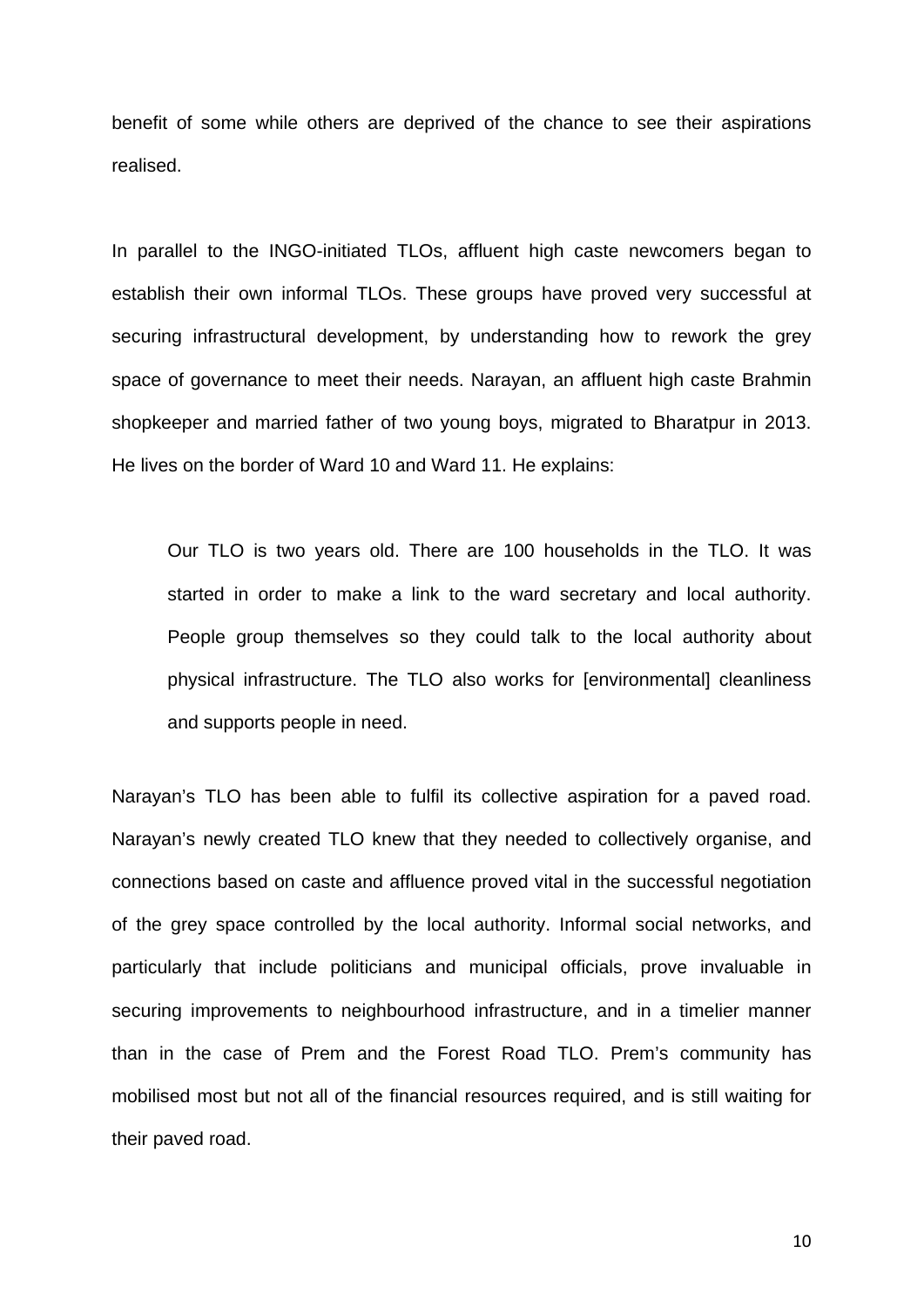benefit of some while others are deprived of the chance to see their aspirations realised.

In parallel to the INGO-initiated TLOs, affluent high caste newcomers began to establish their own informal TLOs. These groups have proved very successful at securing infrastructural development, by understanding how to rework the grey space of governance to meet their needs. Narayan, an affluent high caste Brahmin shopkeeper and married father of two young boys, migrated to Bharatpur in 2013. He lives on the border of Ward 10 and Ward 11. He explains:

Our TLO is two years old. There are 100 households in the TLO. It was started in order to make a link to the ward secretary and local authority. People group themselves so they could talk to the local authority about physical infrastructure. The TLO also works for [environmental] cleanliness and supports people in need.

Narayan's TLO has been able to fulfil its collective aspiration for a paved road. Narayan's newly created TLO knew that they needed to collectively organise, and connections based on caste and affluence proved vital in the successful negotiation of the grey space controlled by the local authority. Informal social networks, and particularly that include politicians and municipal officials, prove invaluable in securing improvements to neighbourhood infrastructure, and in a timelier manner than in the case of Prem and the Forest Road TLO. Prem's community has mobilised most but not all of the financial resources required, and is still waiting for their paved road.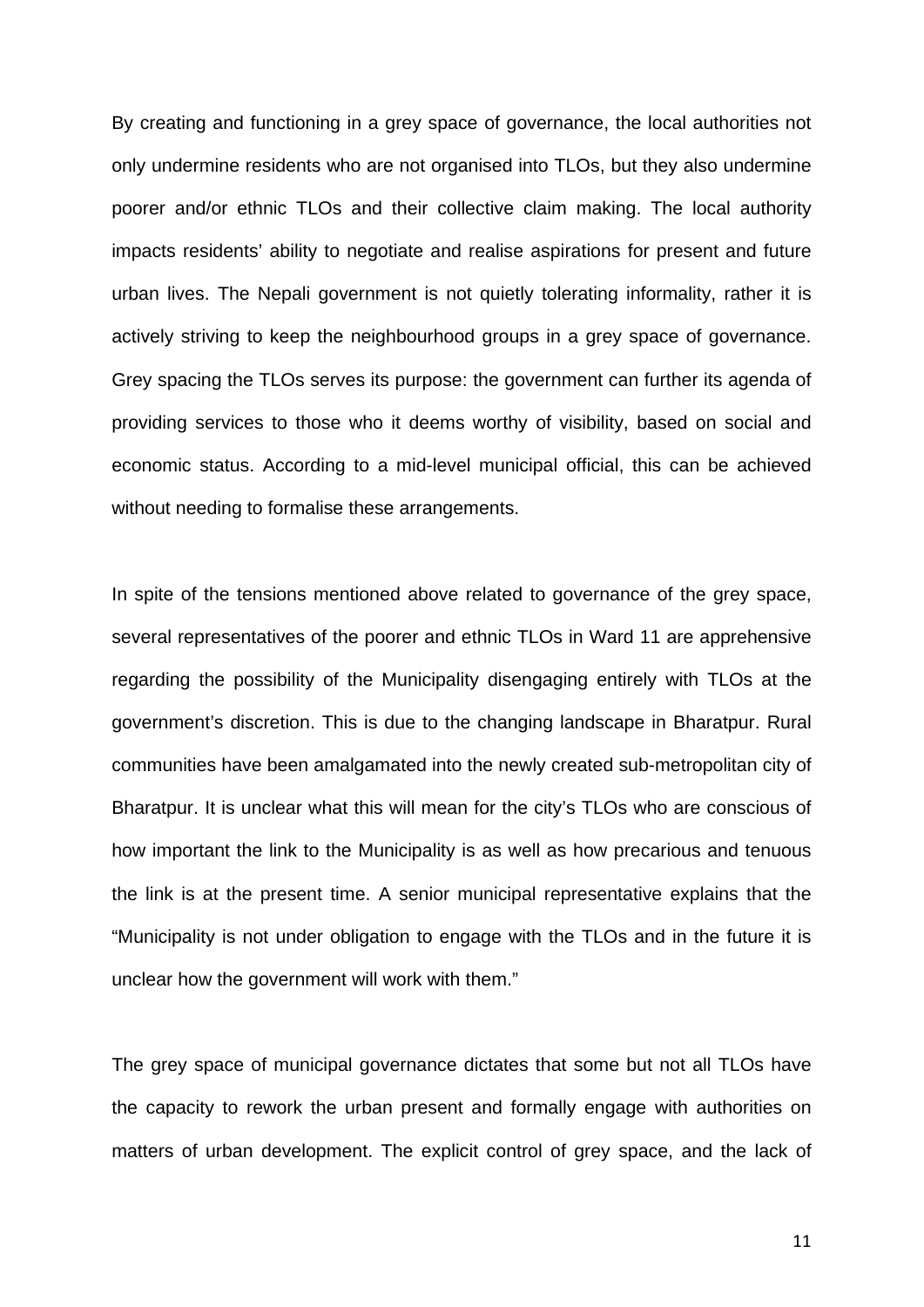By creating and functioning in a grey space of governance, the local authorities not only undermine residents who are not organised into TLOs, but they also undermine poorer and/or ethnic TLOs and their collective claim making. The local authority impacts residents' ability to negotiate and realise aspirations for present and future urban lives. The Nepali government is not quietly tolerating informality, rather it is actively striving to keep the neighbourhood groups in a grey space of governance. Grey spacing the TLOs serves its purpose: the government can further its agenda of providing services to those who it deems worthy of visibility, based on social and economic status. According to a mid-level municipal official, this can be achieved without needing to formalise these arrangements.

In spite of the tensions mentioned above related to governance of the grey space, several representatives of the poorer and ethnic TLOs in Ward 11 are apprehensive regarding the possibility of the Municipality disengaging entirely with TLOs at the government's discretion. This is due to the changing landscape in Bharatpur. Rural communities have been amalgamated into the newly created sub-metropolitan city of Bharatpur. It is unclear what this will mean for the city's TLOs who are conscious of how important the link to the Municipality is as well as how precarious and tenuous the link is at the present time. A senior municipal representative explains that the "Municipality is not under obligation to engage with the TLOs and in the future it is unclear how the government will work with them."

The grey space of municipal governance dictates that some but not all TLOs have the capacity to rework the urban present and formally engage with authorities on matters of urban development. The explicit control of grey space, and the lack of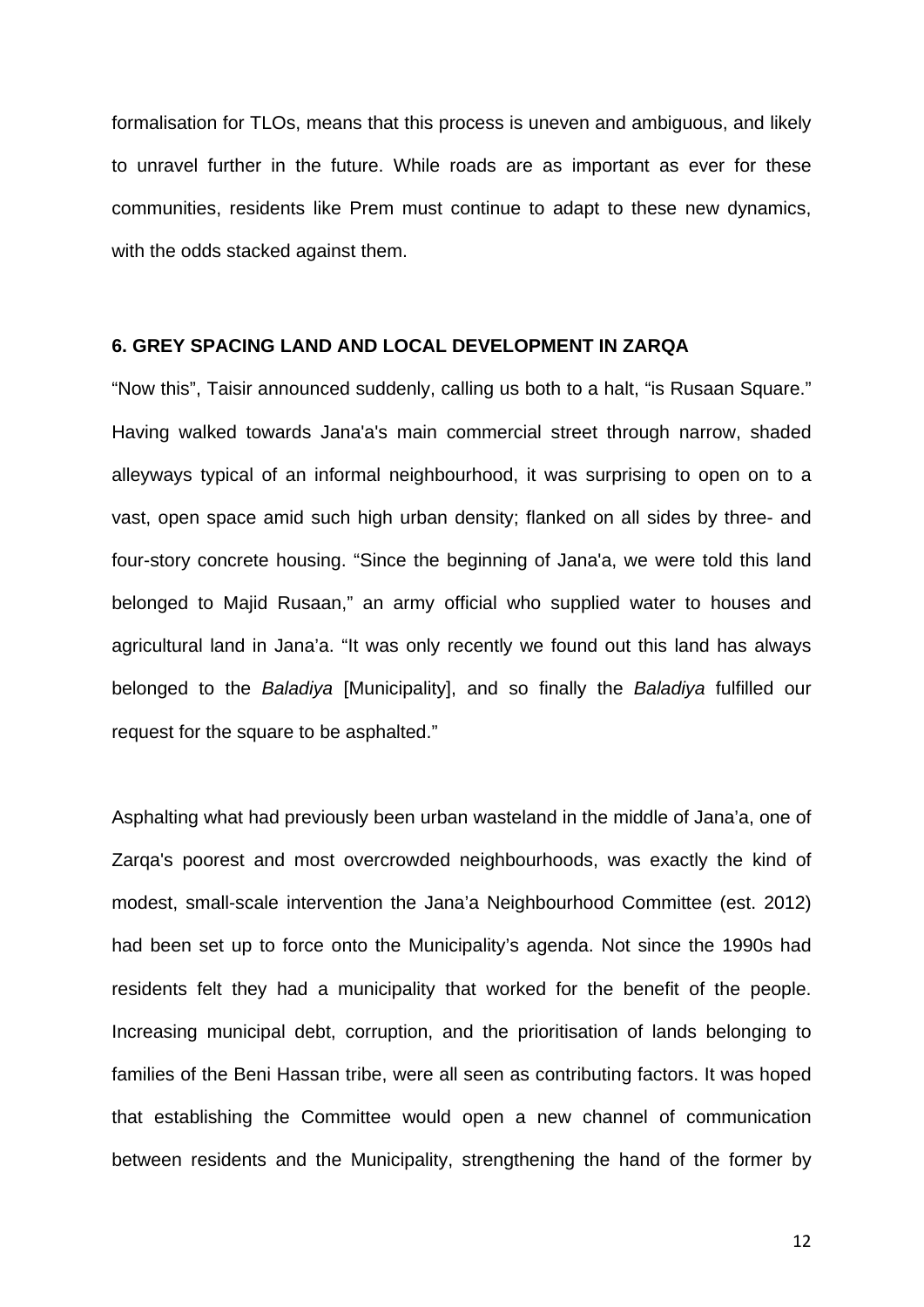formalisation for TLOs, means that this process is uneven and ambiguous, and likely to unravel further in the future. While roads are as important as ever for these communities, residents like Prem must continue to adapt to these new dynamics, with the odds stacked against them.

#### **6. GREY SPACING LAND AND LOCAL DEVELOPMENT IN ZARQA**

"Now this", Taisir announced suddenly, calling us both to a halt, "is Rusaan Square." Having walked towards Jana'a's main commercial street through narrow, shaded alleyways typical of an informal neighbourhood, it was surprising to open on to a vast, open space amid such high urban density; flanked on all sides by three- and four-story concrete housing. "Since the beginning of Jana'a, we were told this land belonged to Majid Rusaan," an army official who supplied water to houses and agricultural land in Jana'a. "It was only recently we found out this land has always belonged to the *Baladiya* [Municipality], and so finally the *Baladiya* fulfilled our request for the square to be asphalted."

Asphalting what had previously been urban wasteland in the middle of Jana'a, one of Zarqa's poorest and most overcrowded neighbourhoods, was exactly the kind of modest, small-scale intervention the Jana'a Neighbourhood Committee (est. 2012) had been set up to force onto the Municipality's agenda. Not since the 1990s had residents felt they had a municipality that worked for the benefit of the people. Increasing municipal debt, corruption, and the prioritisation of lands belonging to families of the Beni Hassan tribe, were all seen as contributing factors. It was hoped that establishing the Committee would open a new channel of communication between residents and the Municipality, strengthening the hand of the former by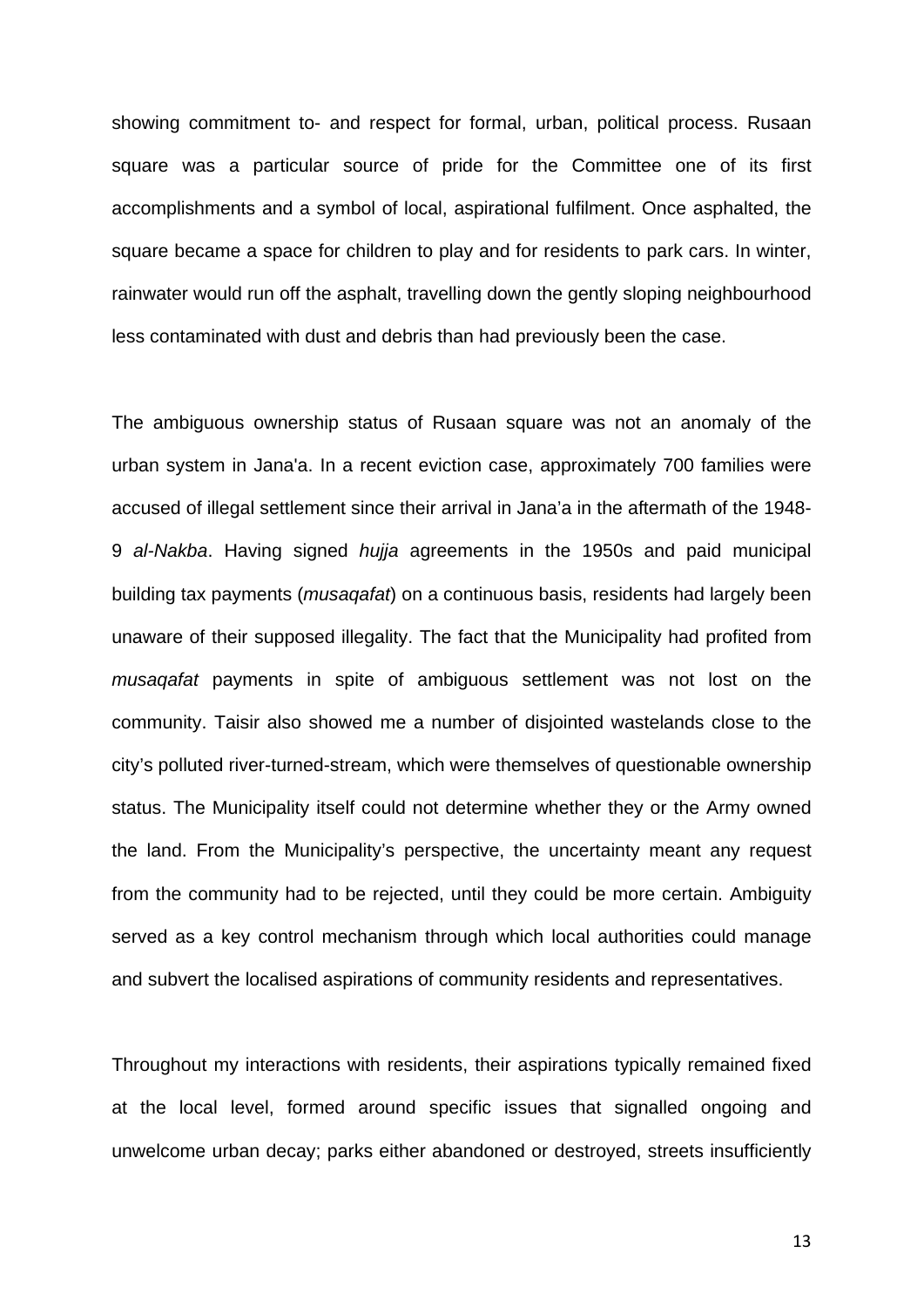showing commitment to- and respect for formal, urban, political process. Rusaan square was a particular source of pride for the Committee one of its first accomplishments and a symbol of local, aspirational fulfilment. Once asphalted, the square became a space for children to play and for residents to park cars. In winter, rainwater would run off the asphalt, travelling down the gently sloping neighbourhood less contaminated with dust and debris than had previously been the case.

The ambiguous ownership status of Rusaan square was not an anomaly of the urban system in Jana'a. In a recent eviction case, approximately 700 families were accused of illegal settlement since their arrival in Jana'a in the aftermath of the 1948- 9 *al-Nakba*. Having signed *hujja* agreements in the 1950s and paid municipal building tax payments (*musaqafat*) on a continuous basis, residents had largely been unaware of their supposed illegality. The fact that the Municipality had profited from *musaqafat* payments in spite of ambiguous settlement was not lost on the community. Taisir also showed me a number of disjointed wastelands close to the city's polluted river-turned-stream, which were themselves of questionable ownership status. The Municipality itself could not determine whether they or the Army owned the land. From the Municipality's perspective, the uncertainty meant any request from the community had to be rejected, until they could be more certain. Ambiguity served as a key control mechanism through which local authorities could manage and subvert the localised aspirations of community residents and representatives.

Throughout my interactions with residents, their aspirations typically remained fixed at the local level, formed around specific issues that signalled ongoing and unwelcome urban decay; parks either abandoned or destroyed, streets insufficiently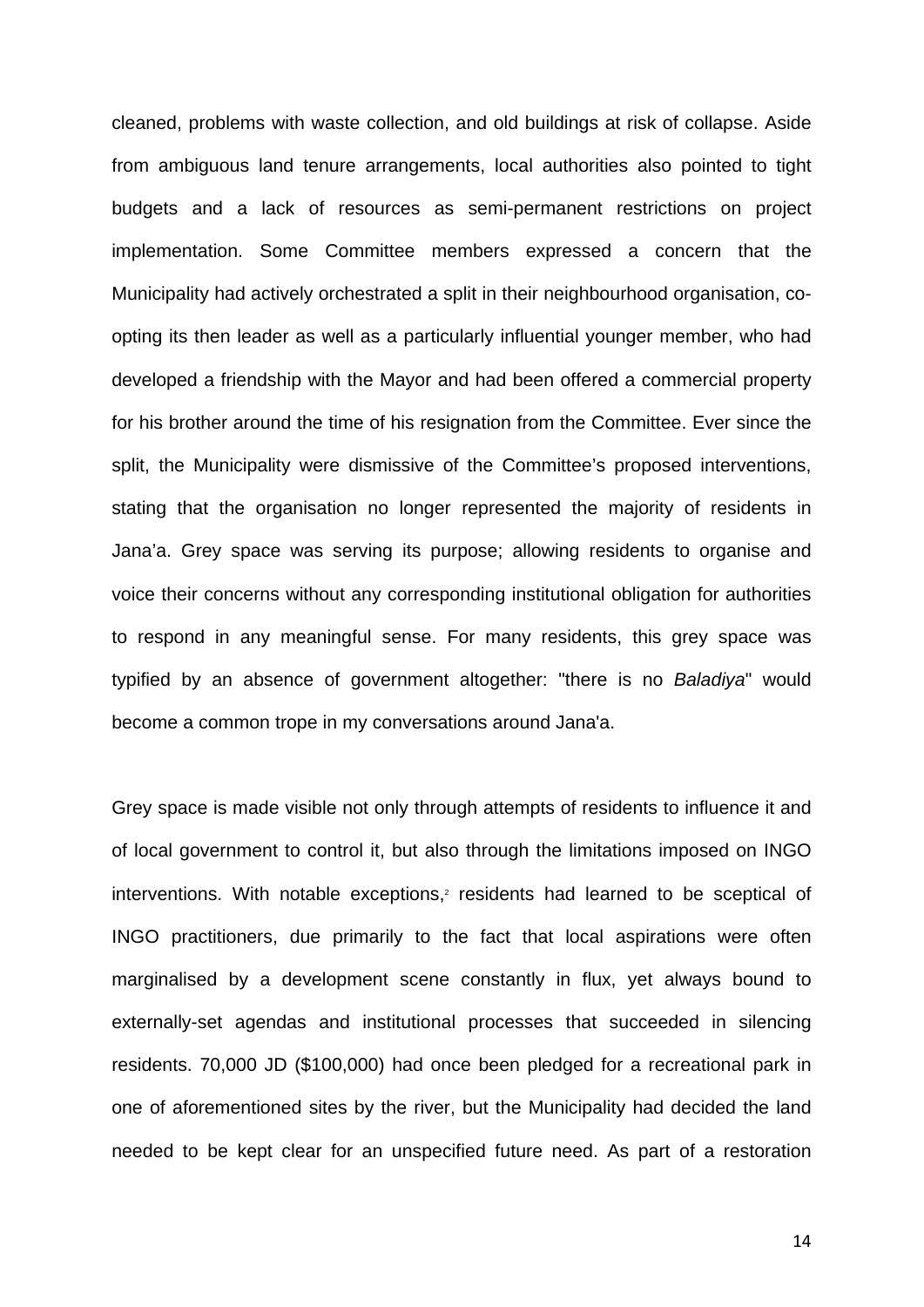cleaned, problems with waste collection, and old buildings at risk of collapse. Aside from ambiguous land tenure arrangements, local authorities also pointed to tight budgets and a lack of resources as semi-permanent restrictions on project implementation. Some Committee members expressed a concern that the Municipality had actively orchestrated a split in their neighbourhood organisation, coopting its then leader as well as a particularly influential younger member, who had developed a friendship with the Mayor and had been offered a commercial property for his brother around the time of his resignation from the Committee. Ever since the split, the Municipality were dismissive of the Committee's proposed interventions, stating that the organisation no longer represented the majority of residents in Jana'a. Grey space was serving its purpose; allowing residents to organise and voice their concerns without any corresponding institutional obligation for authorities to respond in any meaningful sense. For many residents, this grey space was typified by an absence of government altogether: "there is no *Baladiya*" would become a common trope in my conversations around Jana'a.

Grey space is made visible not only through attempts of residents to influence it and of local government to control it, but also through the limitations imposed on INGO interventions. With notable exceptions,<sup>2</sup> residents had learned to be sceptical of INGO practitioners, due primarily to the fact that local aspirations were often marginalised by a development scene constantly in flux, yet always bound to externally-set agendas and institutional processes that succeeded in silencing residents. 70,000 JD (\$100,000) had once been pledged for a recreational park in one of aforementioned sites by the river, but the Municipality had decided the land needed to be kept clear for an unspecified future need. As part of a restoration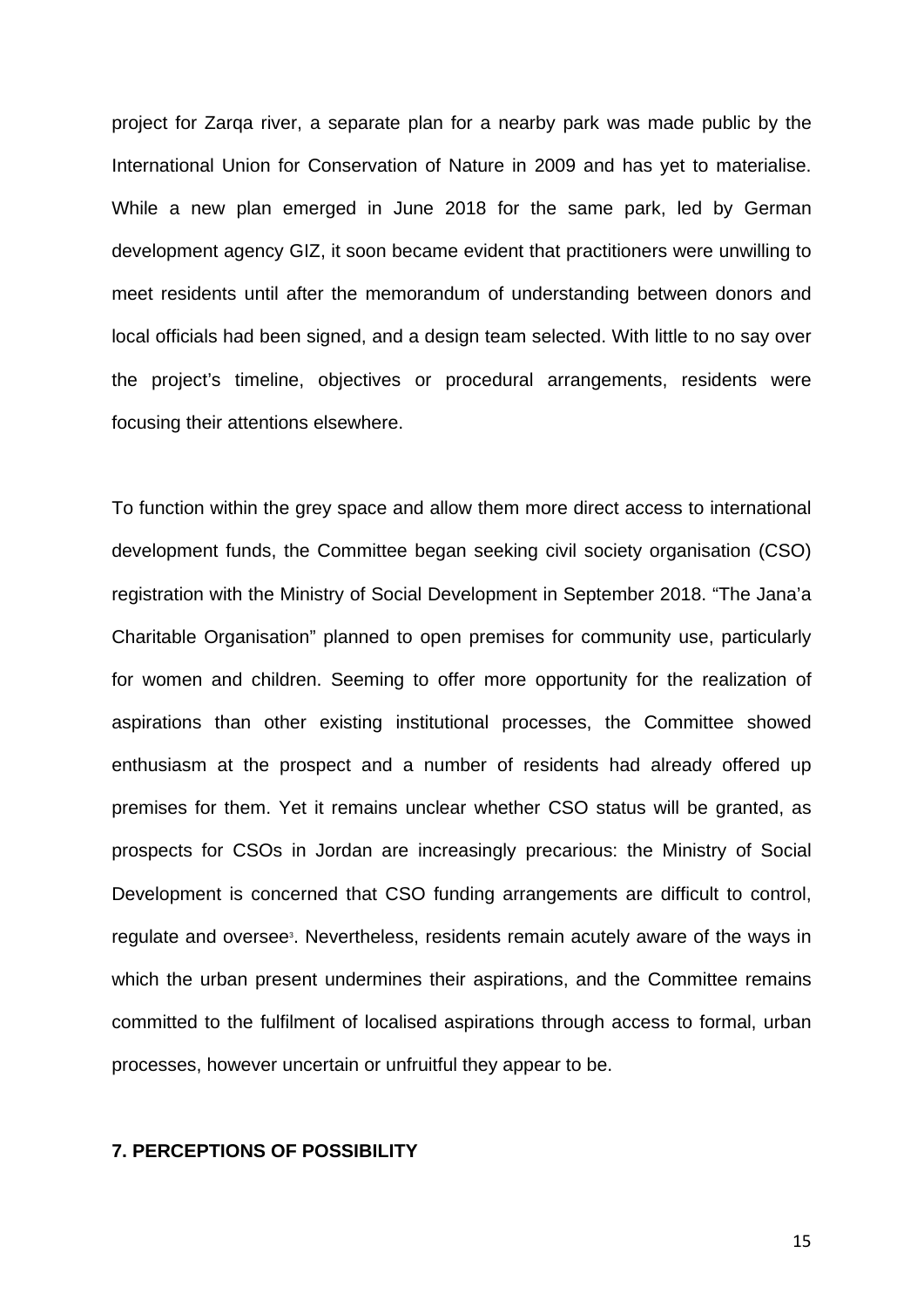project for Zarqa river, a separate plan for a nearby park was made public by the International Union for Conservation of Nature in 2009 and has yet to materialise. While a new plan emerged in June 2018 for the same park, led by German development agency GIZ, it soon became evident that practitioners were unwilling to meet residents until after the memorandum of understanding between donors and local officials had been signed, and a design team selected. With little to no say over the project's timeline, objectives or procedural arrangements, residents were focusing their attentions elsewhere.

To function within the grey space and allow them more direct access to international development funds, the Committee began seeking civil society organisation (CSO) registration with the Ministry of Social Development in September 2018. "The Jana'a Charitable Organisation" planned to open premises for community use, particularly for women and children. Seeming to offer more opportunity for the realization of aspirations than other existing institutional processes, the Committee showed enthusiasm at the prospect and a number of residents had already offered up premises for them. Yet it remains unclear whether CSO status will be granted, as prospects for CSOs in Jordan are increasingly precarious: the Ministry of Social Development is concerned that CSO funding arrangements are difficult to control, regulate and oversee<sup>3</sup>. Nevertheless, residents remain acutely aware of the ways in which the urban present undermines their aspirations, and the Committee remains committed to the fulfilment of localised aspirations through access to formal, urban processes, however uncertain or unfruitful they appear to be.

## **7. PERCEPTIONS OF POSSIBILITY**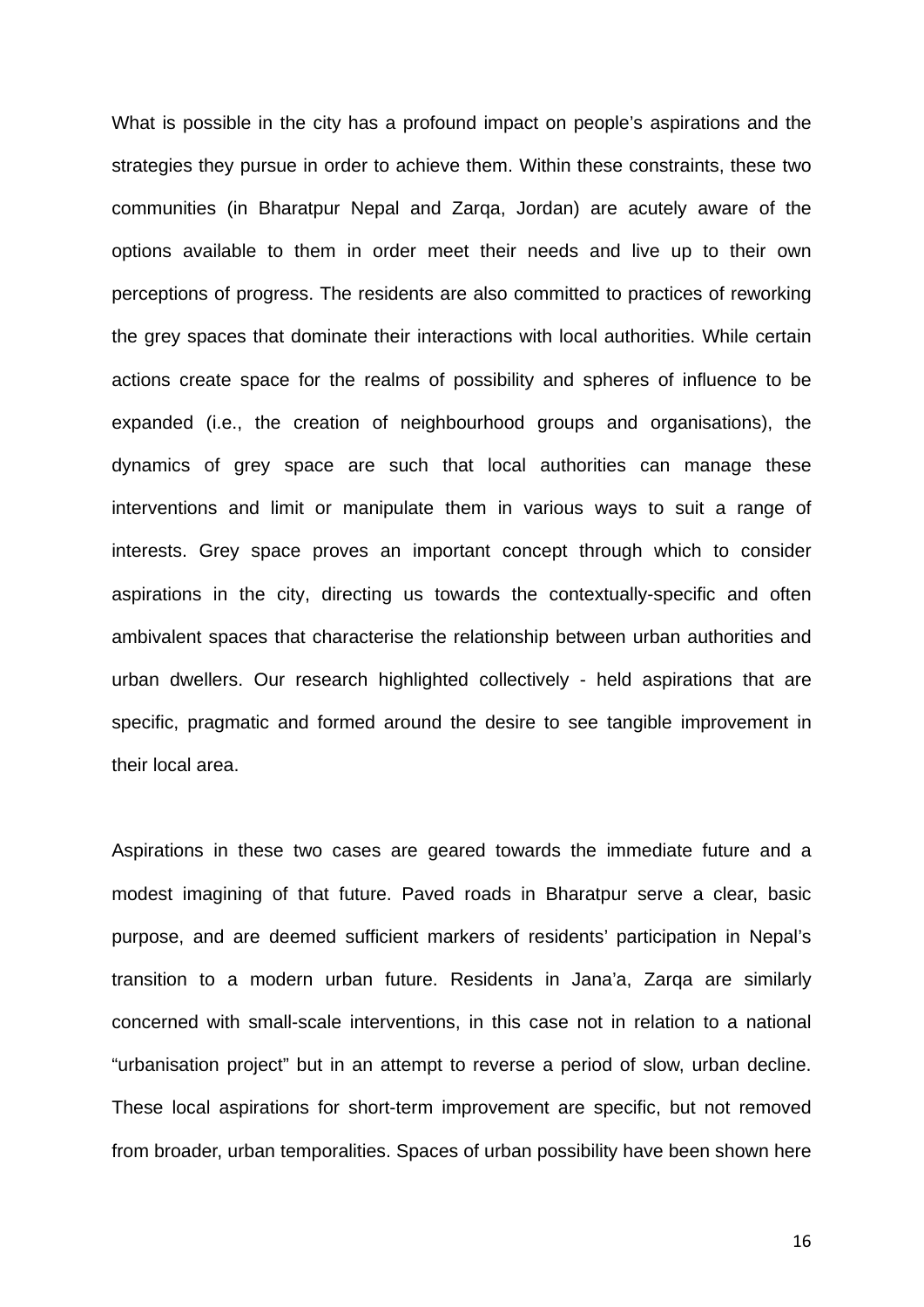What is possible in the city has a profound impact on people's aspirations and the strategies they pursue in order to achieve them. Within these constraints, these two communities (in Bharatpur Nepal and Zarqa, Jordan) are acutely aware of the options available to them in order meet their needs and live up to their own perceptions of progress. The residents are also committed to practices of reworking the grey spaces that dominate their interactions with local authorities. While certain actions create space for the realms of possibility and spheres of influence to be expanded (i.e., the creation of neighbourhood groups and organisations), the dynamics of grey space are such that local authorities can manage these interventions and limit or manipulate them in various ways to suit a range of interests. Grey space proves an important concept through which to consider aspirations in the city, directing us towards the contextually-specific and often ambivalent spaces that characterise the relationship between urban authorities and urban dwellers. Our research highlighted collectively - held aspirations that are specific, pragmatic and formed around the desire to see tangible improvement in their local area.

Aspirations in these two cases are geared towards the immediate future and a modest imagining of that future. Paved roads in Bharatpur serve a clear, basic purpose, and are deemed sufficient markers of residents' participation in Nepal's transition to a modern urban future. Residents in Jana'a, Zarqa are similarly concerned with small-scale interventions, in this case not in relation to a national "urbanisation project" but in an attempt to reverse a period of slow, urban decline. These local aspirations for short-term improvement are specific, but not removed from broader, urban temporalities. Spaces of urban possibility have been shown here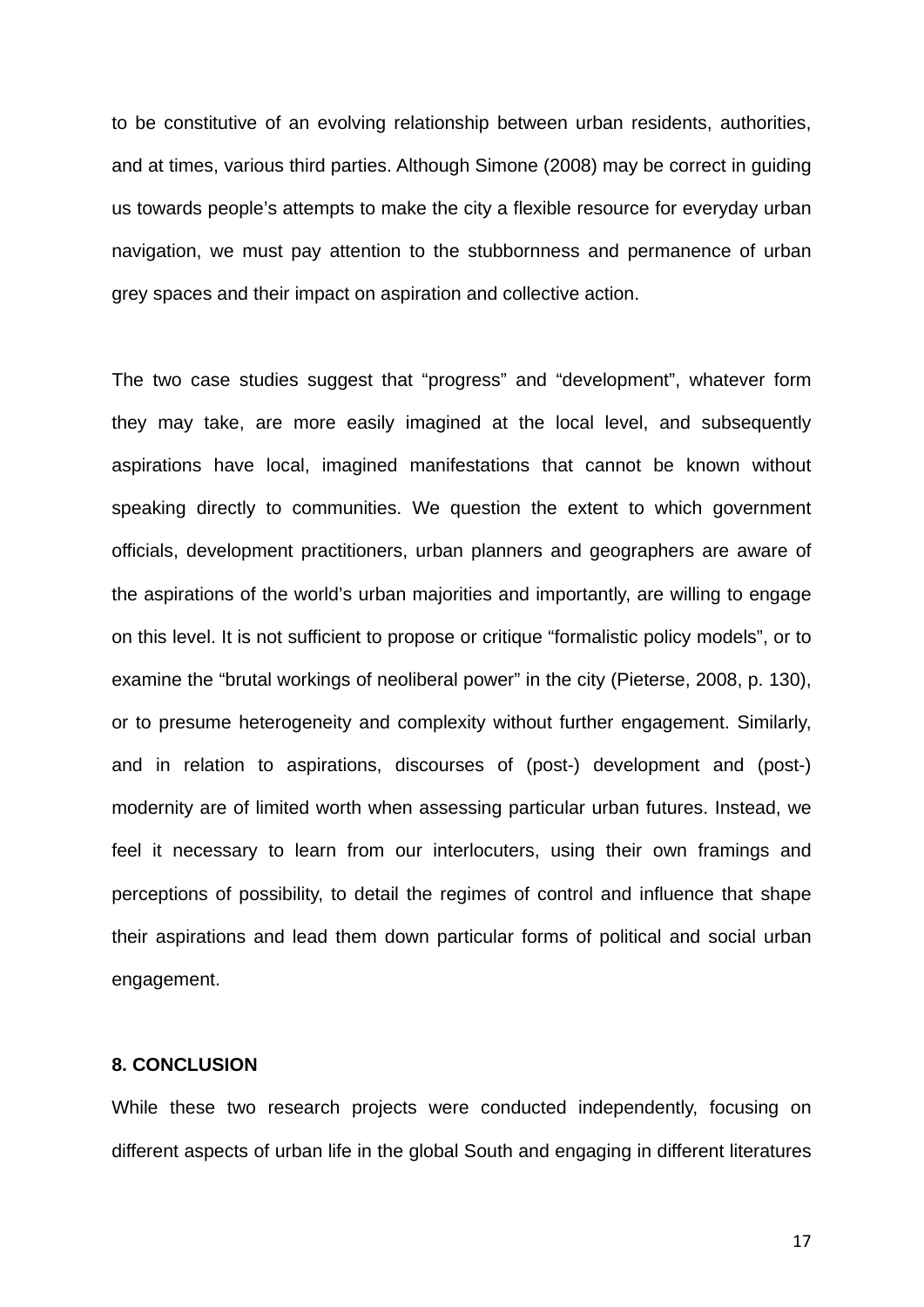to be constitutive of an evolving relationship between urban residents, authorities, and at times, various third parties. Although Simone (2008) may be correct in guiding us towards people's attempts to make the city a flexible resource for everyday urban navigation, we must pay attention to the stubbornness and permanence of urban grey spaces and their impact on aspiration and collective action.

The two case studies suggest that "progress" and "development", whatever form they may take, are more easily imagined at the local level, and subsequently aspirations have local, imagined manifestations that cannot be known without speaking directly to communities. We question the extent to which government officials, development practitioners, urban planners and geographers are aware of the aspirations of the world's urban majorities and importantly, are willing to engage on this level. It is not sufficient to propose or critique "formalistic policy models", or to examine the "brutal workings of neoliberal power" in the city (Pieterse, 2008, p. 130), or to presume heterogeneity and complexity without further engagement. Similarly, and in relation to aspirations, discourses of (post-) development and (post-) modernity are of limited worth when assessing particular urban futures. Instead, we feel it necessary to learn from our interlocuters, using their own framings and perceptions of possibility, to detail the regimes of control and influence that shape their aspirations and lead them down particular forms of political and social urban engagement.

### **8. CONCLUSION**

While these two research projects were conducted independently, focusing on different aspects of urban life in the global South and engaging in different literatures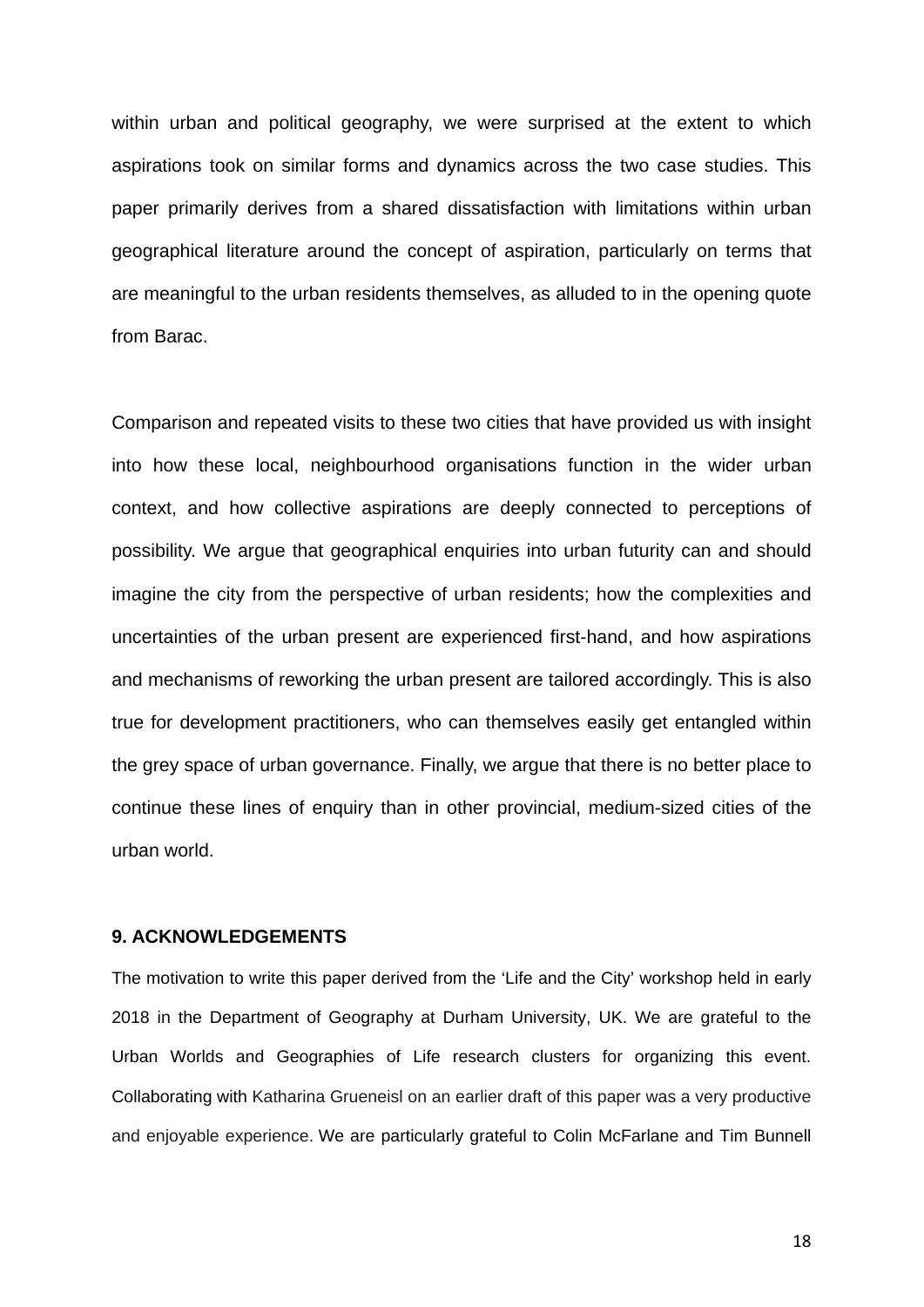within urban and political geography, we were surprised at the extent to which aspirations took on similar forms and dynamics across the two case studies. This paper primarily derives from a shared dissatisfaction with limitations within urban geographical literature around the concept of aspiration, particularly on terms that are meaningful to the urban residents themselves, as alluded to in the opening quote from Barac.

Comparison and repeated visits to these two cities that have provided us with insight into how these local, neighbourhood organisations function in the wider urban context, and how collective aspirations are deeply connected to perceptions of possibility. We argue that geographical enquiries into urban futurity can and should imagine the city from the perspective of urban residents; how the complexities and uncertainties of the urban present are experienced first-hand, and how aspirations and mechanisms of reworking the urban present are tailored accordingly. This is also true for development practitioners, who can themselves easily get entangled within the grey space of urban governance. Finally, we argue that there is no better place to continue these lines of enquiry than in other provincial, medium-sized cities of the urban world.

#### **9. ACKNOWLEDGEMENTS**

The motivation to write this paper derived from the 'Life and the City' workshop held in early 2018 in the Department of Geography at Durham University, UK. We are grateful to the Urban Worlds and Geographies of Life research clusters for organizing this event. Collaborating with Katharina Grueneisl on an earlier draft of this paper was a very productive and enjoyable experience. We are particularly grateful to Colin McFarlane and Tim Bunnell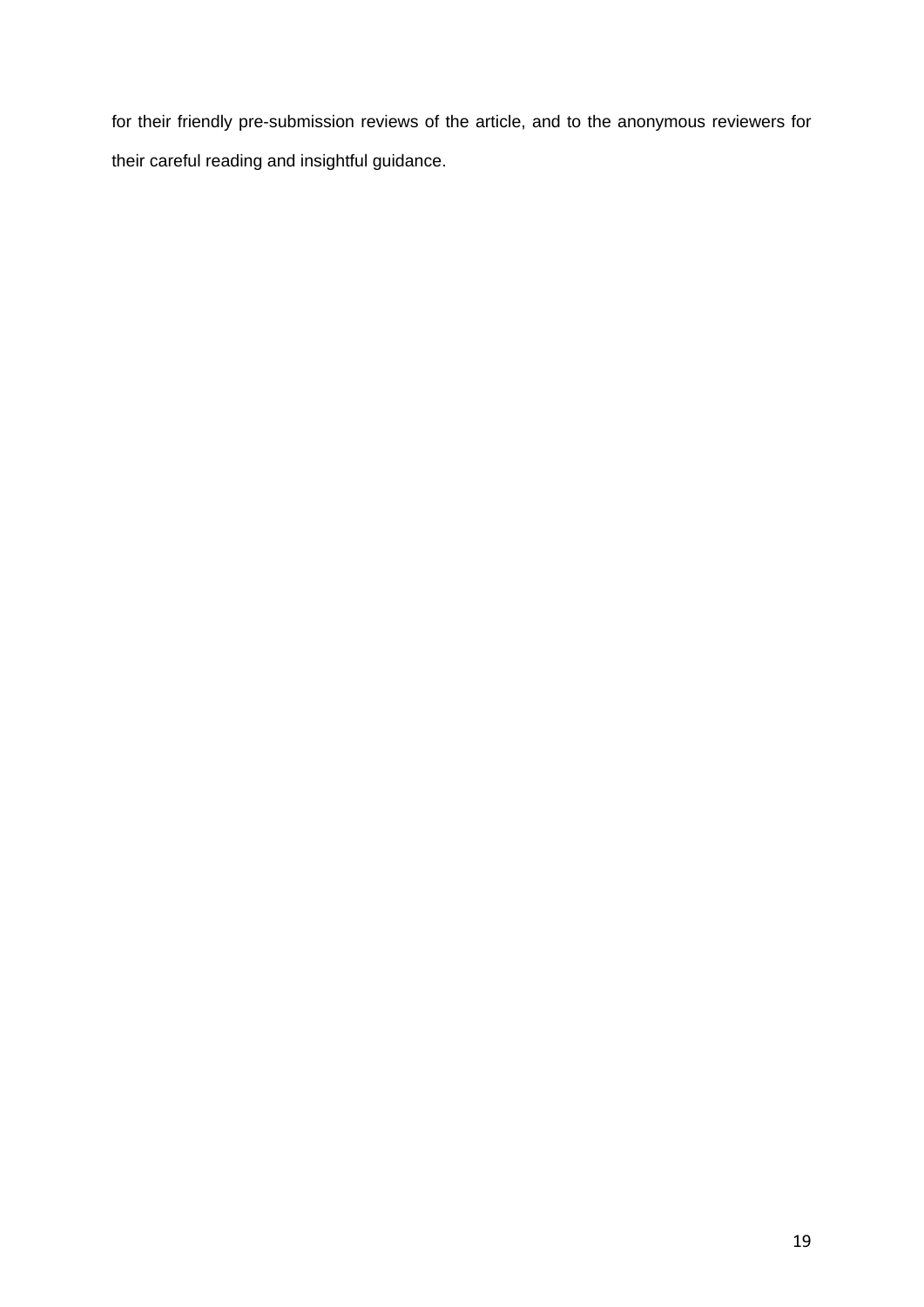for their friendly pre-submission reviews of the article, and to the anonymous reviewers for their careful reading and insightful guidance.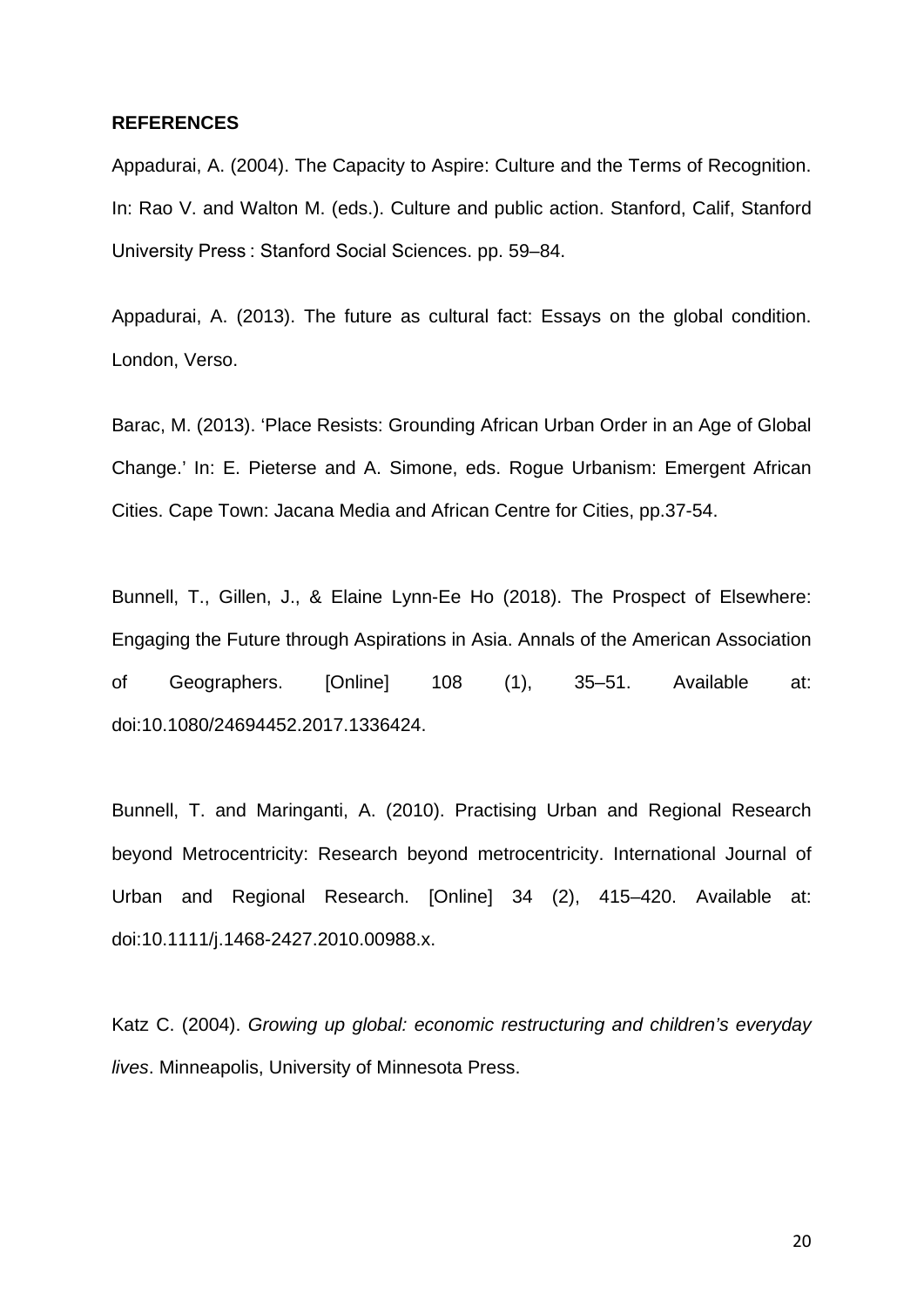#### **REFERENCES**

Appadurai, A. (2004). The Capacity to Aspire: Culture and the Terms of Recognition. In: Rao V. and Walton M. (eds.). Culture and public action. Stanford, Calif, Stanford University Press : Stanford Social Sciences. pp. 59–84.

Appadurai, A. (2013). The future as cultural fact: Essays on the global condition. London, Verso.

Barac, M. (2013). 'Place Resists: Grounding African Urban Order in an Age of Global Change.' In: E. Pieterse and A. Simone, eds. Rogue Urbanism: Emergent African Cities. Cape Town: Jacana Media and African Centre for Cities, pp.37-54.

Bunnell, T., Gillen, J., & Elaine Lynn-Ee Ho (2018). The Prospect of Elsewhere: Engaging the Future through Aspirations in Asia. Annals of the American Association of Geographers. [Online] 108 (1), 35–51. Available at: doi:10.1080/24694452.2017.1336424.

Bunnell, T. and Maringanti, A. (2010). Practising Urban and Regional Research beyond Metrocentricity: Research beyond metrocentricity. International Journal of Urban and Regional Research. [Online] 34 (2), 415–420. Available at: doi:10.1111/j.1468-2427.2010.00988.x.

Katz C. (2004). *Growing up global: economic restructuring and children's everyday lives*. Minneapolis, University of Minnesota Press.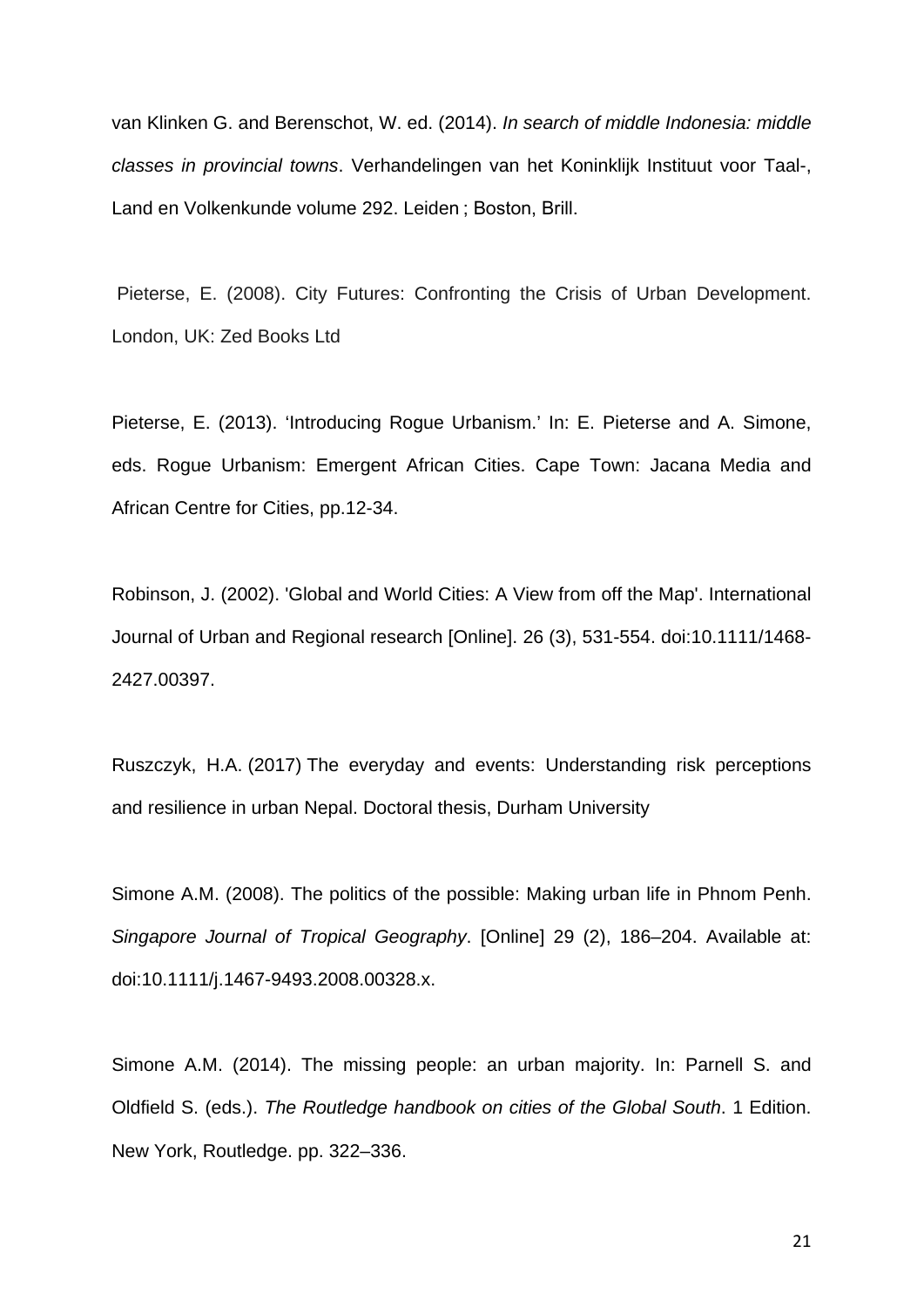van Klinken G. and Berenschot, W. ed. (2014). *In search of middle Indonesia: middle classes in provincial towns*. Verhandelingen van het Koninklijk Instituut voor Taal-, Land en Volkenkunde volume 292. Leiden ; Boston, Brill.

Pieterse, E. (2008). City Futures: Confronting the Crisis of Urban Development. London, UK: Zed Books Ltd

Pieterse, E. (2013). 'Introducing Rogue Urbanism.' In: E. Pieterse and A. Simone, eds. Rogue Urbanism: Emergent African Cities. Cape Town: Jacana Media and African Centre for Cities, pp.12-34.

Robinson, J. (2002). 'Global and World Cities: A View from off the Map'. International Journal of Urban and Regional research [Online]. 26 (3), 531-554. doi:10.1111/1468- 2427.00397.

Ruszczyk, H.A. (2017) The everyday and events: Understanding risk perceptions and resilience in urban Nepal. Doctoral thesis, Durham University

Simone A.M. (2008). The politics of the possible: Making urban life in Phnom Penh. *Singapore Journal of Tropical Geography*. [Online] 29 (2), 186–204. Available at: doi:10.1111/j.1467-9493.2008.00328.x.

Simone A.M. (2014). The missing people: an urban majority. In: Parnell S. and Oldfield S. (eds.). *The Routledge handbook on cities of the Global South*. 1 Edition. New York, Routledge. pp. 322–336.